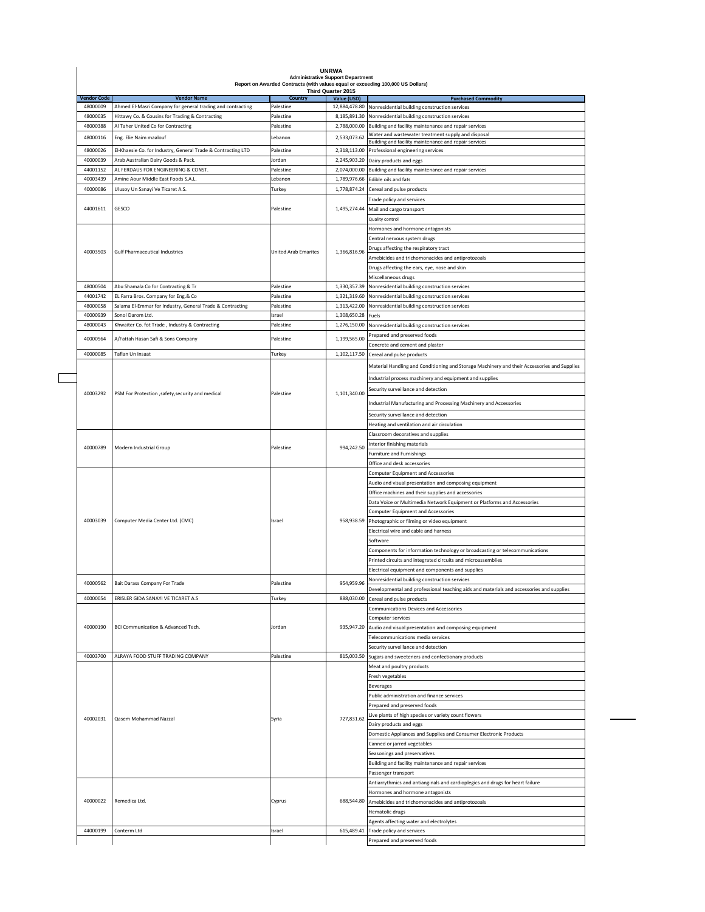| <b>Vendor Code</b> | <b>Administrative Support Department</b><br>Report on Awarded Contracts (with values equal or exceeding 100,000 US Dollars)<br>Third Quarter 2015 |                             |                              |                                                                                                                             |  |  |  |
|--------------------|---------------------------------------------------------------------------------------------------------------------------------------------------|-----------------------------|------------------------------|-----------------------------------------------------------------------------------------------------------------------------|--|--|--|
| 48000009           | <b>Vendor Name</b><br>Ahmed El-Masri Company for general trading and contracting                                                                  | Country<br>Palestine        | Value (USD)<br>12,884,478.80 | <b>Purchased Commodity</b><br>Nonresidential building construction services                                                 |  |  |  |
|                    |                                                                                                                                                   |                             |                              |                                                                                                                             |  |  |  |
| 48000035           | Hittawy Co. & Cousins for Trading & Contracting                                                                                                   | Palestine                   | 8,185,891.30                 | Nonresidential building construction services                                                                               |  |  |  |
| 48000388           | Al Taher United Co for Contracting                                                                                                                | Palestine                   | 2,788,000.00                 | Building and facility maintenance and repair services                                                                       |  |  |  |
| 48000116           | Eng. Elie Naim maalouf                                                                                                                            | Lebanon                     | 2,533,073.62                 | Water and wastewater treatment supply and disposal                                                                          |  |  |  |
|                    |                                                                                                                                                   |                             |                              | Building and facility maintenance and repair services                                                                       |  |  |  |
| 48000026           | El-Khaesie Co. for Industry, General Trade & Contracting LTD                                                                                      | Palestine                   | 2,318,113.00                 | Professional engineering services                                                                                           |  |  |  |
| 40000039           | Arab Australian Dairy Goods & Pack.                                                                                                               | Jordan                      | 2,245,903.20                 | Dairy products and eggs                                                                                                     |  |  |  |
|                    |                                                                                                                                                   |                             |                              |                                                                                                                             |  |  |  |
| 44001152           | AL FERDAUS FOR ENGINEERING & CONST.                                                                                                               | Palestine                   | 2,074,000.00                 | Building and facility maintenance and repair services                                                                       |  |  |  |
| 40003439           | Amine Aour Middle East Foods S.A.L.                                                                                                               | Lebanon                     | 1,789,976.66                 | Edible oils and fats                                                                                                        |  |  |  |
| 40000086           | Ulusoy Un Sanayi Ve Ticaret A.S.                                                                                                                  | Turkey                      | 1,778,874.24                 | Cereal and pulse products                                                                                                   |  |  |  |
|                    |                                                                                                                                                   |                             |                              |                                                                                                                             |  |  |  |
|                    |                                                                                                                                                   |                             |                              | Trade policy and services                                                                                                   |  |  |  |
| 44001611           | GESCO                                                                                                                                             | Palestine                   | 1,495,274.44                 | Mail and cargo transport                                                                                                    |  |  |  |
|                    |                                                                                                                                                   |                             |                              | Quality control                                                                                                             |  |  |  |
|                    |                                                                                                                                                   |                             |                              |                                                                                                                             |  |  |  |
|                    |                                                                                                                                                   |                             |                              | Hormones and hormone antagonists                                                                                            |  |  |  |
|                    |                                                                                                                                                   |                             |                              | Central nervous system drugs                                                                                                |  |  |  |
|                    |                                                                                                                                                   |                             |                              | Drugs affecting the respiratory tract                                                                                       |  |  |  |
| 40003503           | <b>Gulf Pharmaceutical Industries</b>                                                                                                             | <b>United Arab Emarites</b> | 1,366,816.96                 |                                                                                                                             |  |  |  |
|                    |                                                                                                                                                   |                             |                              | Amebicides and trichomonacides and antiprotozoals                                                                           |  |  |  |
|                    |                                                                                                                                                   |                             |                              | Drugs affecting the ears, eye, nose and skin                                                                                |  |  |  |
|                    |                                                                                                                                                   |                             |                              | Miscellaneous drugs                                                                                                         |  |  |  |
|                    |                                                                                                                                                   |                             |                              |                                                                                                                             |  |  |  |
| 48000504           | Abu Shamala Co for Contracting & Tr                                                                                                               | Palestine                   | 1,330,357.39                 | Nonresidential building construction services                                                                               |  |  |  |
| 44001742           | EL Farra Bros. Company for Eng.& Co                                                                                                               | Palestine                   | 1,321,319.60                 | Nonresidential building construction services                                                                               |  |  |  |
| 48000058           | Salama El-Emmar for Industry, General Trade & Contracting                                                                                         | Palestine                   | 1,313,422.00                 | Nonresidential building construction services                                                                               |  |  |  |
| 40000939           | Sonol Darom Ltd.                                                                                                                                  | Israel                      | 1,308,650.28                 |                                                                                                                             |  |  |  |
|                    |                                                                                                                                                   |                             |                              | Fuels                                                                                                                       |  |  |  |
| 48000043           | Khwaiter Co. fot Trade, Industry & Contracting                                                                                                    | Palestine                   | 1,276,150.00                 | Nonresidential building construction services                                                                               |  |  |  |
|                    |                                                                                                                                                   |                             |                              | Prepared and preserved foods                                                                                                |  |  |  |
| 40000564           | A/Fattah Hasan Safi & Sons Company                                                                                                                | Palestine                   | 1,199,565.00                 |                                                                                                                             |  |  |  |
|                    |                                                                                                                                                   |                             |                              | Concrete and cement and plaster                                                                                             |  |  |  |
| 40000085           | Taflan Un Insaat                                                                                                                                  | Turkey                      | 1,102,117.50                 | Cereal and pulse products                                                                                                   |  |  |  |
|                    |                                                                                                                                                   |                             |                              | Material Handling and Conditioning and Storage Machinery and their Accessories and Supplies                                 |  |  |  |
|                    |                                                                                                                                                   |                             |                              |                                                                                                                             |  |  |  |
|                    |                                                                                                                                                   |                             |                              | Industrial process machinery and equipment and supplies                                                                     |  |  |  |
|                    |                                                                                                                                                   |                             |                              | Security surveillance and detection                                                                                         |  |  |  |
| 40003292           | PSM For Protection ,safety,security and medical                                                                                                   | Palestine                   | 1,101,340.00                 |                                                                                                                             |  |  |  |
|                    |                                                                                                                                                   |                             |                              | Industrial Manufacturing and Processing Machinery and Accessories                                                           |  |  |  |
|                    |                                                                                                                                                   |                             |                              |                                                                                                                             |  |  |  |
|                    |                                                                                                                                                   |                             |                              | Security surveillance and detection                                                                                         |  |  |  |
|                    |                                                                                                                                                   |                             |                              | Heating and ventilation and air circulation                                                                                 |  |  |  |
|                    |                                                                                                                                                   |                             |                              |                                                                                                                             |  |  |  |
|                    | Modern Industrial Group                                                                                                                           |                             |                              | Classroom decoratives and supplies                                                                                          |  |  |  |
|                    |                                                                                                                                                   | Palestine                   |                              | nterior finishing materials                                                                                                 |  |  |  |
| 40000789           |                                                                                                                                                   |                             | 994,242.50                   | Furniture and Furnishings                                                                                                   |  |  |  |
|                    |                                                                                                                                                   |                             |                              |                                                                                                                             |  |  |  |
|                    |                                                                                                                                                   |                             |                              | Office and desk accessories                                                                                                 |  |  |  |
|                    |                                                                                                                                                   |                             |                              | Computer Equipment and Accessories                                                                                          |  |  |  |
|                    |                                                                                                                                                   |                             |                              | Audio and visual presentation and composing equipment                                                                       |  |  |  |
|                    |                                                                                                                                                   |                             |                              |                                                                                                                             |  |  |  |
|                    |                                                                                                                                                   |                             |                              | Office machines and their supplies and accessories                                                                          |  |  |  |
|                    |                                                                                                                                                   |                             |                              | Data Voice or Multimedia Network Equipment or Platforms and Accessories                                                     |  |  |  |
|                    |                                                                                                                                                   |                             |                              | <b>Computer Equipment and Accessories</b>                                                                                   |  |  |  |
| 40003039           | Computer Media Center Ltd. (CMC)                                                                                                                  | Israel                      | 958,938.59                   |                                                                                                                             |  |  |  |
|                    |                                                                                                                                                   |                             |                              | Photographic or filming or video equipment                                                                                  |  |  |  |
|                    |                                                                                                                                                   |                             |                              | Electrical wire and cable and harness                                                                                       |  |  |  |
|                    |                                                                                                                                                   |                             |                              | Software                                                                                                                    |  |  |  |
|                    |                                                                                                                                                   |                             |                              | Components for information technology or broadcasting or telecommunications                                                 |  |  |  |
|                    |                                                                                                                                                   |                             |                              |                                                                                                                             |  |  |  |
|                    |                                                                                                                                                   |                             |                              |                                                                                                                             |  |  |  |
|                    |                                                                                                                                                   |                             |                              | Printed circuits and integrated circuits and microassemblies                                                                |  |  |  |
|                    |                                                                                                                                                   |                             |                              |                                                                                                                             |  |  |  |
|                    |                                                                                                                                                   |                             |                              | Electrical equipment and components and supplies                                                                            |  |  |  |
| \$6200004          | <b>Bait Darass Company For Trade</b>                                                                                                              | Palestine                   | 954,959.96                   | Nonresidential building construction services                                                                               |  |  |  |
|                    |                                                                                                                                                   |                             |                              |                                                                                                                             |  |  |  |
| 40000054           | ERISLER GIDA SANAYI VE TICARET A.S                                                                                                                | Turkey                      | 888,030.00                   | Cereal and pulse products                                                                                                   |  |  |  |
|                    |                                                                                                                                                   |                             |                              |                                                                                                                             |  |  |  |
|                    |                                                                                                                                                   |                             |                              | Communications Devices and Accessories                                                                                      |  |  |  |
|                    |                                                                                                                                                   |                             |                              | Computer services                                                                                                           |  |  |  |
| 40000190           | BCI Communication & Advanced Tech.                                                                                                                | Jordan                      |                              | 935,947.20 Audio and visual presentation and composing equipment                                                            |  |  |  |
|                    |                                                                                                                                                   |                             |                              |                                                                                                                             |  |  |  |
|                    |                                                                                                                                                   |                             |                              | Telecommunications media services                                                                                           |  |  |  |
|                    |                                                                                                                                                   |                             |                              | Security surveillance and detection                                                                                         |  |  |  |
| 40003700           | ALRAYA FOOD STUFF TRADING COMPANY                                                                                                                 | Palestine                   | 815,003.50                   | Sugars and sweeteners and confectionary products                                                                            |  |  |  |
|                    |                                                                                                                                                   |                             |                              |                                                                                                                             |  |  |  |
|                    |                                                                                                                                                   |                             |                              | Meat and poultry products                                                                                                   |  |  |  |
|                    |                                                                                                                                                   |                             |                              | Fresh vegetables                                                                                                            |  |  |  |
|                    |                                                                                                                                                   |                             |                              | <b>Beverages</b>                                                                                                            |  |  |  |
|                    |                                                                                                                                                   |                             |                              |                                                                                                                             |  |  |  |
|                    |                                                                                                                                                   |                             |                              | Public administration and finance services                                                                                  |  |  |  |
|                    |                                                                                                                                                   |                             |                              | Prepared and preserved foods                                                                                                |  |  |  |
|                    |                                                                                                                                                   |                             |                              | live plants of high species or variety count flowers                                                                        |  |  |  |
| 40002031           | Qasem Mohammad Nazzal                                                                                                                             | Syria                       | 727,831.62                   |                                                                                                                             |  |  |  |
|                    |                                                                                                                                                   |                             |                              | Dairy products and eggs                                                                                                     |  |  |  |
|                    |                                                                                                                                                   |                             |                              | Domestic Appliances and Supplies and Consumer Electronic Products                                                           |  |  |  |
|                    |                                                                                                                                                   |                             |                              |                                                                                                                             |  |  |  |
|                    |                                                                                                                                                   |                             |                              | Canned or jarred vegetables                                                                                                 |  |  |  |
|                    |                                                                                                                                                   |                             |                              | Seasonings and preservatives                                                                                                |  |  |  |
|                    |                                                                                                                                                   |                             |                              | Building and facility maintenance and repair services                                                                       |  |  |  |
|                    |                                                                                                                                                   |                             |                              |                                                                                                                             |  |  |  |
|                    |                                                                                                                                                   |                             |                              | Passenger transport                                                                                                         |  |  |  |
|                    |                                                                                                                                                   |                             |                              | Antiarrythmics and antianginals and cardioplegics and drugs for heart failure                                               |  |  |  |
|                    |                                                                                                                                                   |                             |                              |                                                                                                                             |  |  |  |
|                    |                                                                                                                                                   |                             |                              | Developmental and professional teaching aids and materials and accessories and supplies<br>Hormones and hormone antagonists |  |  |  |
| 40000022           | Remedica Ltd.                                                                                                                                     | Cyprus                      | 688,544.80                   | Amebicides and trichomonacides and antiprotozoals                                                                           |  |  |  |
|                    |                                                                                                                                                   |                             |                              | Hematolic drugs                                                                                                             |  |  |  |
|                    |                                                                                                                                                   |                             |                              |                                                                                                                             |  |  |  |
|                    |                                                                                                                                                   |                             |                              | Agents affecting water and electrolytes                                                                                     |  |  |  |
| 44000199           | Conterm Ltd                                                                                                                                       | Israel                      | 615,489.41                   | Trade policy and services<br>Prepared and preserved foods                                                                   |  |  |  |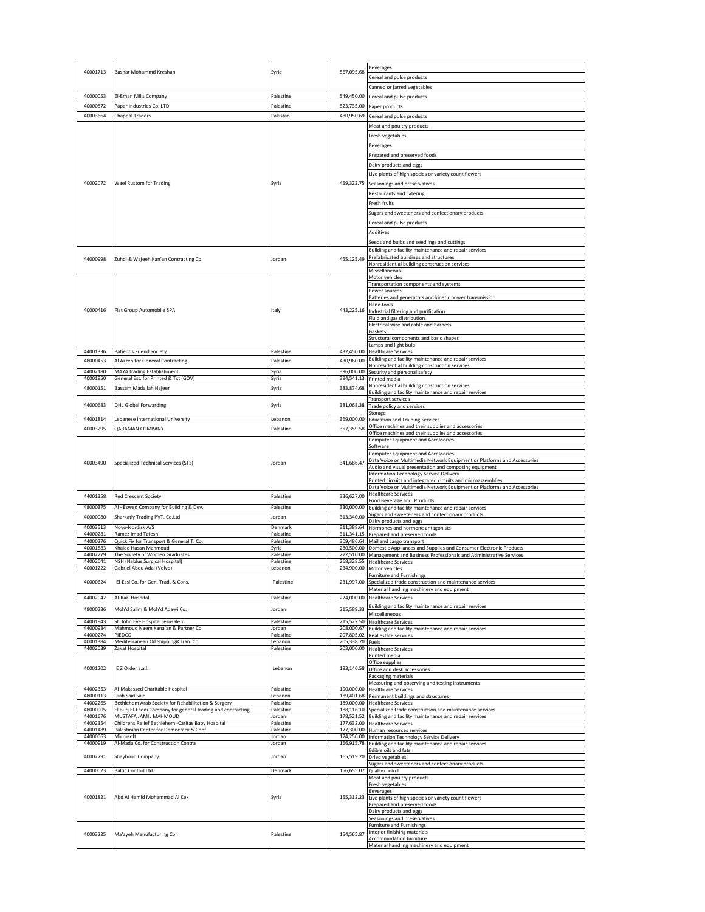| 40001713<br>Bashar Mohammd Kreshan<br>Syria<br>Cereal and pulse products<br>Canned or jarred vegetables<br>40000053<br>El-Eman Mills Company<br>Palestine<br>549,450.00<br>Cereal and pulse products<br>40000872<br>Paper Industries Co. LTD<br>523,735.00<br>Palestine<br>Paper products<br>40003664<br>480,950.69<br><b>Chappal Traders</b><br>Pakistan<br>Cereal and pulse products<br>Meat and poultry products<br>Fresh vegetables<br><b>Beverages</b><br>Prepared and preserved foods<br>Dairy products and eggs<br>Live plants of high species or variety count flowers<br>40002072<br>Wael Rustom for Trading<br>Syria<br>459,322.75<br>Seasonings and preservatives<br>Restaurants and catering<br>Fresh fruits<br>Sugars and sweeteners and confectionary products<br>Cereal and pulse products<br><b>Additives</b><br>Seeds and bulbs and seedlings and cuttings<br>Building and facility maintenance and repair services<br>Prefabricated buildings and structures<br>44000998<br>Zuhdi & Wajeeh Kan'an Contracting Co.<br>lordan<br>455,125.49<br>Nonresidential building construction services<br>Miscellaneous<br>Motor vehicles<br>Transportation components and systems<br>Power sources<br>Batteries and generators and kinetic power transmission<br>Hand tools<br>40000416<br>Fiat Group Automobile SPA<br>Italy<br>443,225.16 Industrial filtering and purification<br>Fluid and gas distribution<br>Electrical wire and cable and harness<br>Gaskets<br>Structural components and basic shapes<br>Lamps and light bulb<br>44001336<br><b>Patient's Friend Society</b><br>Palestine<br>432,450.00<br><b>Healthcare Services</b><br>Building and facility maintenance and repair services<br>48000453<br>Al Azzeh for General Contracting<br>430,960.00<br>Palestine<br>Nonresidential building construction services<br>44002180<br>MAYA trading Establishment<br>396,000.00<br>Syria<br>Security and personal safety<br>40001950<br>General Est. for Printed & Txt (GOV)<br>394,541.13 Printed media<br>Syria<br>Nonresidential building construction services<br>48000151<br>383,874.68<br>Bassam Madallah Hajeer<br>Syria<br>Building and facility maintenance and repair services<br><b>Transport services</b><br>44000683<br>381,068.38<br><b>DHL Global Forwarding</b><br>Syria<br>Trade policy and services<br>Storage<br>44001814<br>Lebanese International University<br>Lebanon<br>369,000.00 Education and Training Services<br>Office machines and their supplies and accessories<br>40003295<br>QARAMAN COMPANY<br>alestine<br>357,359.58<br>Office machines and their supplies and accessories<br><b>Computer Equipment and Accessories</b><br>Software<br><b>Computer Equipment and Accessories</b><br>Data Voice or Multimedia Network Equipment or Platforms and Accessories<br>40003490<br>Specialized Technical Services (STS)<br>Jordan<br>341,686.47<br>Audio and visual presentation and composing equipment<br>Information Technology Service Delivery<br>Printed circuits and integrated circuits and microassemblies<br>Data Voice or Multimedia Network Equipment or Platforms and Accessories<br><b>Healthcare Services</b><br>44001358<br>Palestine<br>336,627.00<br><b>Red Crescent Society</b><br>Food Beverage and Products<br>48000375<br>330,000.00 Building and facility maintenance and repair services<br>Al - Eswed Company for Building & Dev<br>Palestine<br>Sugars and sweeteners and confectionary products<br>40000080<br>Sharkatly Trading PVT. Co.Ltd<br>313,340.00<br>lordan<br>Dairy products and eggs<br>40003513<br>Novo-Nordisk A/S<br>311,388.64<br>Denmark<br>Hormones and hormone antagonists<br>44000281<br>Ramez Imad Tafesh<br>Palestine<br>311,341.15 Prepared and preserved foods<br>44000276<br>Quick Fix for Transport & General T. Co.<br>309,486.64 Mail and cargo transport<br>Palestine<br>40001883<br>Khaled Hasan Mahmoud<br>Syria<br>280,500.00 Domestic Appliances and Supplies and Consumer Electronic Products<br>44002279<br>The Society of Women Graduates<br>272,510.00 Management and Business Professionals and Administrative Services<br>Palestine<br>44002041<br>NSH (Nablus Surgical Hospital)<br>268,328.55 Healthcare Services<br>Palestine<br>40001222<br>Gabriel Abou Adal (Volvo)<br>Lebanon<br>234,900.00 Motor vehicles<br><b>Furniture and Furnishings</b><br>40000624<br>El-Essi Co. for Gen. Trad. & Cons.<br>Palestine<br>231.997.00<br>Specialized trade construction and maintenance services<br>Material handling machinery and equipment<br>44002042<br>Al-Razi Hospital<br>224,000.00<br>alestine<br><b>Healthcare Services</b><br>Building and facility maintenance and repair services<br>48000236<br>215,589.33<br>Moh'd Salim & Moh'd Adawi Co.<br>lordan<br>Miscellaneous<br>44001943<br>St. John Eye Hospital Jerusalem<br>215,522.50 Healthcare Services<br>Palestine<br>44000934<br>Mahmoud Naem Kana'an & Partner Co.<br>208,000.67 Building and facility maintenance and repair services<br>Jordan<br>44000274<br>PIEDCO<br>207,805.02 Real estate services<br>Palestine<br>40001384<br>Mediterranean Oil Shipping&Tran. Co<br>205,338.70 Fuels<br>ebanon<br>44002039<br>Zakat Hospital<br>Palestine<br>203,000.00 Healthcare Services<br>Printed media<br>Office supplies<br>40001202<br>E Z Order s.a.l.<br>Lebanon<br>193,146.58 Office and desk accessories<br>Packaging materials<br>Measuring and observing and testing instruments<br>44002353<br>Al-Makassed Charitable Hospital<br>190,000.00 Healthcare Services<br>Palestine<br>48000113<br>Diab Said Said<br>Lebanon<br>189,401.68 Permanent buildings and structures<br>44002265<br>Bethlehem Arab Society for Rehabilitation & Surgery<br>Palestine<br>189,000.00 Healthcare Services<br>48000005<br>El Burj El-Faddi Company for general trading and contracting<br>Palestine<br>188,116.10 Specialized trade construction and maintenance services<br>MUSTAFA JAMIL MAHMOUD<br>44001676<br>178,521.52 Building and facility maintenance and repair services<br>Jordan<br>Childrens Relief Bethlehem -Caritas Baby Hospital<br>44002354<br>Palestine<br>177,632.00 Healthcare Services<br>44001489<br>Palestinian Center for Democracy & Conf.<br>177,300.00 Human resources services<br>Palestine<br>44000063<br>Microsoft<br>Jordan<br>174,250.00 Information Technology Service Delivery<br>Al-Mada Co. for Construction Contra<br>44000919<br>Jordan<br>166,915.78 Building and facility maintenance and repair services<br>Edible oils and fats<br>40002791<br>Shayboob Company<br>lordan<br>165,519.20 Dried vegetables<br>sugars and sweeteners and confectionary products<br>44000023<br>Baltic Control Ltd.<br>156,655.07 Quality control<br>Denmark<br>Meat and poultry products<br>Fresh vegetables<br><b>Beverages</b><br>40001821<br>Abd Al Hamid Mohammad Al Kek<br>155,312.23 Live plants of high species or variety count flowers<br>Syria<br>Prepared and preserved foods<br>Dairy products and eggs<br>Seasonings and preservatives<br><b>Furniture and Furnishings</b><br>Interior finishing materials<br>40003225<br>154,565.87<br>Ma'ayeh Manufacturing Co.<br>Palestine<br>Accommodation furniture<br>Material handling machinery and equipment |  |  |  |            | <b>Beverages</b> |
|-------------------------------------------------------------------------------------------------------------------------------------------------------------------------------------------------------------------------------------------------------------------------------------------------------------------------------------------------------------------------------------------------------------------------------------------------------------------------------------------------------------------------------------------------------------------------------------------------------------------------------------------------------------------------------------------------------------------------------------------------------------------------------------------------------------------------------------------------------------------------------------------------------------------------------------------------------------------------------------------------------------------------------------------------------------------------------------------------------------------------------------------------------------------------------------------------------------------------------------------------------------------------------------------------------------------------------------------------------------------------------------------------------------------------------------------------------------------------------------------------------------------------------------------------------------------------------------------------------------------------------------------------------------------------------------------------------------------------------------------------------------------------------------------------------------------------------------------------------------------------------------------------------------------------------------------------------------------------------------------------------------------------------------------------------------------------------------------------------------------------------------------------------------------------------------------------------------------------------------------------------------------------------------------------------------------------------------------------------------------------------------------------------------------------------------------------------------------------------------------------------------------------------------------------------------------------------------------------------------------------------------------------------------------------------------------------------------------------------------------------------------------------------------------------------------------------------------------------------------------------------------------------------------------------------------------------------------------------------------------------------------------------------------------------------------------------------------------------------------------------------------------------------------------------------------------------------------------------------------------------------------------------------------------------------------------------------------------------------------------------------------------------------------------------------------------------------------------------------------------------------------------------------------------------------------------------------------------------------------------------------------------------------------------------------------------------------------------------------------------------------------------------------------------------------------------------------------------------------------------------------------------------------------------------------------------------------------------------------------------------------------------------------------------------------------------------------------------------------------------------------------------------------------------------------------------------------------------------------------------------------------------------------------------------------------------------------------------------------------------------------------------------------------------------------------------------------------------------------------------------------------------------------------------------------------------------------------------------------------------------------------------------------------------------------------------------------------------------------------------------------------------------------------------------------------------------------------------------------------------------------------------------------------------------------------------------------------------------------------------------------------------------------------------------------------------------------------------------------------------------------------------------------------------------------------------------------------------------------------------------------------------------------------------------------------------------------------------------------------------------------------------------------------------------------------------------------------------------------------------------------------------------------------------------------------------------------------------------------------------------------------------------------------------------------------------------------------------------------------------------------------------------------------------------------------------------------------------------------------------------------------------------------------------------------------------------------------------------------------------------------------------------------------------------------------------------------------------------------------------------------------------------------------------------------------------------------------------------------------------------------------------------------------------------------------------------------------------------------------------------------------------------------------------------------------------------------------------------------------------------------------------------------------------------------------------------------------------------------------------------------------------------------------------------------------------------------------------------------------------------------------------------------------------------------------------------------------------------------------------------------------------------------------------------------------------------------------------------------------------------------------------------------------------------------------------------------------------------------------------------------------------------------------------------------------------------------------------------------------------------------------------|--|--|--|------------|------------------|
|                                                                                                                                                                                                                                                                                                                                                                                                                                                                                                                                                                                                                                                                                                                                                                                                                                                                                                                                                                                                                                                                                                                                                                                                                                                                                                                                                                                                                                                                                                                                                                                                                                                                                                                                                                                                                                                                                                                                                                                                                                                                                                                                                                                                                                                                                                                                                                                                                                                                                                                                                                                                                                                                                                                                                                                                                                                                                                                                                                                                                                                                                                                                                                                                                                                                                                                                                                                                                                                                                                                                                                                                                                                                                                                                                                                                                                                                                                                                                                                                                                                                                                                                                                                                                                                                                                                                                                                                                                                                                                                                                                                                                                                                                                                                                                                                                                                                                                                                                                                                                                                                                                                                                                                                                                                                                                                                                                                                                                                                                                                                                                                                                                                                                                                                                                                                                                                                                                                                                                                                                                                                                                                                                                                                                                                                                                                                                                                                                                                                                                                                                                                                                                                                                                                                                                                                                                                                                                                                                                                                                                                                                                                                                                                                                                                                   |  |  |  | 567,095.68 |                  |
|                                                                                                                                                                                                                                                                                                                                                                                                                                                                                                                                                                                                                                                                                                                                                                                                                                                                                                                                                                                                                                                                                                                                                                                                                                                                                                                                                                                                                                                                                                                                                                                                                                                                                                                                                                                                                                                                                                                                                                                                                                                                                                                                                                                                                                                                                                                                                                                                                                                                                                                                                                                                                                                                                                                                                                                                                                                                                                                                                                                                                                                                                                                                                                                                                                                                                                                                                                                                                                                                                                                                                                                                                                                                                                                                                                                                                                                                                                                                                                                                                                                                                                                                                                                                                                                                                                                                                                                                                                                                                                                                                                                                                                                                                                                                                                                                                                                                                                                                                                                                                                                                                                                                                                                                                                                                                                                                                                                                                                                                                                                                                                                                                                                                                                                                                                                                                                                                                                                                                                                                                                                                                                                                                                                                                                                                                                                                                                                                                                                                                                                                                                                                                                                                                                                                                                                                                                                                                                                                                                                                                                                                                                                                                                                                                                                                   |  |  |  |            |                  |
|                                                                                                                                                                                                                                                                                                                                                                                                                                                                                                                                                                                                                                                                                                                                                                                                                                                                                                                                                                                                                                                                                                                                                                                                                                                                                                                                                                                                                                                                                                                                                                                                                                                                                                                                                                                                                                                                                                                                                                                                                                                                                                                                                                                                                                                                                                                                                                                                                                                                                                                                                                                                                                                                                                                                                                                                                                                                                                                                                                                                                                                                                                                                                                                                                                                                                                                                                                                                                                                                                                                                                                                                                                                                                                                                                                                                                                                                                                                                                                                                                                                                                                                                                                                                                                                                                                                                                                                                                                                                                                                                                                                                                                                                                                                                                                                                                                                                                                                                                                                                                                                                                                                                                                                                                                                                                                                                                                                                                                                                                                                                                                                                                                                                                                                                                                                                                                                                                                                                                                                                                                                                                                                                                                                                                                                                                                                                                                                                                                                                                                                                                                                                                                                                                                                                                                                                                                                                                                                                                                                                                                                                                                                                                                                                                                                                   |  |  |  |            |                  |
|                                                                                                                                                                                                                                                                                                                                                                                                                                                                                                                                                                                                                                                                                                                                                                                                                                                                                                                                                                                                                                                                                                                                                                                                                                                                                                                                                                                                                                                                                                                                                                                                                                                                                                                                                                                                                                                                                                                                                                                                                                                                                                                                                                                                                                                                                                                                                                                                                                                                                                                                                                                                                                                                                                                                                                                                                                                                                                                                                                                                                                                                                                                                                                                                                                                                                                                                                                                                                                                                                                                                                                                                                                                                                                                                                                                                                                                                                                                                                                                                                                                                                                                                                                                                                                                                                                                                                                                                                                                                                                                                                                                                                                                                                                                                                                                                                                                                                                                                                                                                                                                                                                                                                                                                                                                                                                                                                                                                                                                                                                                                                                                                                                                                                                                                                                                                                                                                                                                                                                                                                                                                                                                                                                                                                                                                                                                                                                                                                                                                                                                                                                                                                                                                                                                                                                                                                                                                                                                                                                                                                                                                                                                                                                                                                                                                   |  |  |  |            |                  |
|                                                                                                                                                                                                                                                                                                                                                                                                                                                                                                                                                                                                                                                                                                                                                                                                                                                                                                                                                                                                                                                                                                                                                                                                                                                                                                                                                                                                                                                                                                                                                                                                                                                                                                                                                                                                                                                                                                                                                                                                                                                                                                                                                                                                                                                                                                                                                                                                                                                                                                                                                                                                                                                                                                                                                                                                                                                                                                                                                                                                                                                                                                                                                                                                                                                                                                                                                                                                                                                                                                                                                                                                                                                                                                                                                                                                                                                                                                                                                                                                                                                                                                                                                                                                                                                                                                                                                                                                                                                                                                                                                                                                                                                                                                                                                                                                                                                                                                                                                                                                                                                                                                                                                                                                                                                                                                                                                                                                                                                                                                                                                                                                                                                                                                                                                                                                                                                                                                                                                                                                                                                                                                                                                                                                                                                                                                                                                                                                                                                                                                                                                                                                                                                                                                                                                                                                                                                                                                                                                                                                                                                                                                                                                                                                                                                                   |  |  |  |            |                  |
|                                                                                                                                                                                                                                                                                                                                                                                                                                                                                                                                                                                                                                                                                                                                                                                                                                                                                                                                                                                                                                                                                                                                                                                                                                                                                                                                                                                                                                                                                                                                                                                                                                                                                                                                                                                                                                                                                                                                                                                                                                                                                                                                                                                                                                                                                                                                                                                                                                                                                                                                                                                                                                                                                                                                                                                                                                                                                                                                                                                                                                                                                                                                                                                                                                                                                                                                                                                                                                                                                                                                                                                                                                                                                                                                                                                                                                                                                                                                                                                                                                                                                                                                                                                                                                                                                                                                                                                                                                                                                                                                                                                                                                                                                                                                                                                                                                                                                                                                                                                                                                                                                                                                                                                                                                                                                                                                                                                                                                                                                                                                                                                                                                                                                                                                                                                                                                                                                                                                                                                                                                                                                                                                                                                                                                                                                                                                                                                                                                                                                                                                                                                                                                                                                                                                                                                                                                                                                                                                                                                                                                                                                                                                                                                                                                                                   |  |  |  |            |                  |
|                                                                                                                                                                                                                                                                                                                                                                                                                                                                                                                                                                                                                                                                                                                                                                                                                                                                                                                                                                                                                                                                                                                                                                                                                                                                                                                                                                                                                                                                                                                                                                                                                                                                                                                                                                                                                                                                                                                                                                                                                                                                                                                                                                                                                                                                                                                                                                                                                                                                                                                                                                                                                                                                                                                                                                                                                                                                                                                                                                                                                                                                                                                                                                                                                                                                                                                                                                                                                                                                                                                                                                                                                                                                                                                                                                                                                                                                                                                                                                                                                                                                                                                                                                                                                                                                                                                                                                                                                                                                                                                                                                                                                                                                                                                                                                                                                                                                                                                                                                                                                                                                                                                                                                                                                                                                                                                                                                                                                                                                                                                                                                                                                                                                                                                                                                                                                                                                                                                                                                                                                                                                                                                                                                                                                                                                                                                                                                                                                                                                                                                                                                                                                                                                                                                                                                                                                                                                                                                                                                                                                                                                                                                                                                                                                                                                   |  |  |  |            |                  |
|                                                                                                                                                                                                                                                                                                                                                                                                                                                                                                                                                                                                                                                                                                                                                                                                                                                                                                                                                                                                                                                                                                                                                                                                                                                                                                                                                                                                                                                                                                                                                                                                                                                                                                                                                                                                                                                                                                                                                                                                                                                                                                                                                                                                                                                                                                                                                                                                                                                                                                                                                                                                                                                                                                                                                                                                                                                                                                                                                                                                                                                                                                                                                                                                                                                                                                                                                                                                                                                                                                                                                                                                                                                                                                                                                                                                                                                                                                                                                                                                                                                                                                                                                                                                                                                                                                                                                                                                                                                                                                                                                                                                                                                                                                                                                                                                                                                                                                                                                                                                                                                                                                                                                                                                                                                                                                                                                                                                                                                                                                                                                                                                                                                                                                                                                                                                                                                                                                                                                                                                                                                                                                                                                                                                                                                                                                                                                                                                                                                                                                                                                                                                                                                                                                                                                                                                                                                                                                                                                                                                                                                                                                                                                                                                                                                                   |  |  |  |            |                  |
|                                                                                                                                                                                                                                                                                                                                                                                                                                                                                                                                                                                                                                                                                                                                                                                                                                                                                                                                                                                                                                                                                                                                                                                                                                                                                                                                                                                                                                                                                                                                                                                                                                                                                                                                                                                                                                                                                                                                                                                                                                                                                                                                                                                                                                                                                                                                                                                                                                                                                                                                                                                                                                                                                                                                                                                                                                                                                                                                                                                                                                                                                                                                                                                                                                                                                                                                                                                                                                                                                                                                                                                                                                                                                                                                                                                                                                                                                                                                                                                                                                                                                                                                                                                                                                                                                                                                                                                                                                                                                                                                                                                                                                                                                                                                                                                                                                                                                                                                                                                                                                                                                                                                                                                                                                                                                                                                                                                                                                                                                                                                                                                                                                                                                                                                                                                                                                                                                                                                                                                                                                                                                                                                                                                                                                                                                                                                                                                                                                                                                                                                                                                                                                                                                                                                                                                                                                                                                                                                                                                                                                                                                                                                                                                                                                                                   |  |  |  |            |                  |
|                                                                                                                                                                                                                                                                                                                                                                                                                                                                                                                                                                                                                                                                                                                                                                                                                                                                                                                                                                                                                                                                                                                                                                                                                                                                                                                                                                                                                                                                                                                                                                                                                                                                                                                                                                                                                                                                                                                                                                                                                                                                                                                                                                                                                                                                                                                                                                                                                                                                                                                                                                                                                                                                                                                                                                                                                                                                                                                                                                                                                                                                                                                                                                                                                                                                                                                                                                                                                                                                                                                                                                                                                                                                                                                                                                                                                                                                                                                                                                                                                                                                                                                                                                                                                                                                                                                                                                                                                                                                                                                                                                                                                                                                                                                                                                                                                                                                                                                                                                                                                                                                                                                                                                                                                                                                                                                                                                                                                                                                                                                                                                                                                                                                                                                                                                                                                                                                                                                                                                                                                                                                                                                                                                                                                                                                                                                                                                                                                                                                                                                                                                                                                                                                                                                                                                                                                                                                                                                                                                                                                                                                                                                                                                                                                                                                   |  |  |  |            |                  |
|                                                                                                                                                                                                                                                                                                                                                                                                                                                                                                                                                                                                                                                                                                                                                                                                                                                                                                                                                                                                                                                                                                                                                                                                                                                                                                                                                                                                                                                                                                                                                                                                                                                                                                                                                                                                                                                                                                                                                                                                                                                                                                                                                                                                                                                                                                                                                                                                                                                                                                                                                                                                                                                                                                                                                                                                                                                                                                                                                                                                                                                                                                                                                                                                                                                                                                                                                                                                                                                                                                                                                                                                                                                                                                                                                                                                                                                                                                                                                                                                                                                                                                                                                                                                                                                                                                                                                                                                                                                                                                                                                                                                                                                                                                                                                                                                                                                                                                                                                                                                                                                                                                                                                                                                                                                                                                                                                                                                                                                                                                                                                                                                                                                                                                                                                                                                                                                                                                                                                                                                                                                                                                                                                                                                                                                                                                                                                                                                                                                                                                                                                                                                                                                                                                                                                                                                                                                                                                                                                                                                                                                                                                                                                                                                                                                                   |  |  |  |            |                  |
|                                                                                                                                                                                                                                                                                                                                                                                                                                                                                                                                                                                                                                                                                                                                                                                                                                                                                                                                                                                                                                                                                                                                                                                                                                                                                                                                                                                                                                                                                                                                                                                                                                                                                                                                                                                                                                                                                                                                                                                                                                                                                                                                                                                                                                                                                                                                                                                                                                                                                                                                                                                                                                                                                                                                                                                                                                                                                                                                                                                                                                                                                                                                                                                                                                                                                                                                                                                                                                                                                                                                                                                                                                                                                                                                                                                                                                                                                                                                                                                                                                                                                                                                                                                                                                                                                                                                                                                                                                                                                                                                                                                                                                                                                                                                                                                                                                                                                                                                                                                                                                                                                                                                                                                                                                                                                                                                                                                                                                                                                                                                                                                                                                                                                                                                                                                                                                                                                                                                                                                                                                                                                                                                                                                                                                                                                                                                                                                                                                                                                                                                                                                                                                                                                                                                                                                                                                                                                                                                                                                                                                                                                                                                                                                                                                                                   |  |  |  |            |                  |
|                                                                                                                                                                                                                                                                                                                                                                                                                                                                                                                                                                                                                                                                                                                                                                                                                                                                                                                                                                                                                                                                                                                                                                                                                                                                                                                                                                                                                                                                                                                                                                                                                                                                                                                                                                                                                                                                                                                                                                                                                                                                                                                                                                                                                                                                                                                                                                                                                                                                                                                                                                                                                                                                                                                                                                                                                                                                                                                                                                                                                                                                                                                                                                                                                                                                                                                                                                                                                                                                                                                                                                                                                                                                                                                                                                                                                                                                                                                                                                                                                                                                                                                                                                                                                                                                                                                                                                                                                                                                                                                                                                                                                                                                                                                                                                                                                                                                                                                                                                                                                                                                                                                                                                                                                                                                                                                                                                                                                                                                                                                                                                                                                                                                                                                                                                                                                                                                                                                                                                                                                                                                                                                                                                                                                                                                                                                                                                                                                                                                                                                                                                                                                                                                                                                                                                                                                                                                                                                                                                                                                                                                                                                                                                                                                                                                   |  |  |  |            |                  |
|                                                                                                                                                                                                                                                                                                                                                                                                                                                                                                                                                                                                                                                                                                                                                                                                                                                                                                                                                                                                                                                                                                                                                                                                                                                                                                                                                                                                                                                                                                                                                                                                                                                                                                                                                                                                                                                                                                                                                                                                                                                                                                                                                                                                                                                                                                                                                                                                                                                                                                                                                                                                                                                                                                                                                                                                                                                                                                                                                                                                                                                                                                                                                                                                                                                                                                                                                                                                                                                                                                                                                                                                                                                                                                                                                                                                                                                                                                                                                                                                                                                                                                                                                                                                                                                                                                                                                                                                                                                                                                                                                                                                                                                                                                                                                                                                                                                                                                                                                                                                                                                                                                                                                                                                                                                                                                                                                                                                                                                                                                                                                                                                                                                                                                                                                                                                                                                                                                                                                                                                                                                                                                                                                                                                                                                                                                                                                                                                                                                                                                                                                                                                                                                                                                                                                                                                                                                                                                                                                                                                                                                                                                                                                                                                                                                                   |  |  |  |            |                  |
|                                                                                                                                                                                                                                                                                                                                                                                                                                                                                                                                                                                                                                                                                                                                                                                                                                                                                                                                                                                                                                                                                                                                                                                                                                                                                                                                                                                                                                                                                                                                                                                                                                                                                                                                                                                                                                                                                                                                                                                                                                                                                                                                                                                                                                                                                                                                                                                                                                                                                                                                                                                                                                                                                                                                                                                                                                                                                                                                                                                                                                                                                                                                                                                                                                                                                                                                                                                                                                                                                                                                                                                                                                                                                                                                                                                                                                                                                                                                                                                                                                                                                                                                                                                                                                                                                                                                                                                                                                                                                                                                                                                                                                                                                                                                                                                                                                                                                                                                                                                                                                                                                                                                                                                                                                                                                                                                                                                                                                                                                                                                                                                                                                                                                                                                                                                                                                                                                                                                                                                                                                                                                                                                                                                                                                                                                                                                                                                                                                                                                                                                                                                                                                                                                                                                                                                                                                                                                                                                                                                                                                                                                                                                                                                                                                                                   |  |  |  |            |                  |
|                                                                                                                                                                                                                                                                                                                                                                                                                                                                                                                                                                                                                                                                                                                                                                                                                                                                                                                                                                                                                                                                                                                                                                                                                                                                                                                                                                                                                                                                                                                                                                                                                                                                                                                                                                                                                                                                                                                                                                                                                                                                                                                                                                                                                                                                                                                                                                                                                                                                                                                                                                                                                                                                                                                                                                                                                                                                                                                                                                                                                                                                                                                                                                                                                                                                                                                                                                                                                                                                                                                                                                                                                                                                                                                                                                                                                                                                                                                                                                                                                                                                                                                                                                                                                                                                                                                                                                                                                                                                                                                                                                                                                                                                                                                                                                                                                                                                                                                                                                                                                                                                                                                                                                                                                                                                                                                                                                                                                                                                                                                                                                                                                                                                                                                                                                                                                                                                                                                                                                                                                                                                                                                                                                                                                                                                                                                                                                                                                                                                                                                                                                                                                                                                                                                                                                                                                                                                                                                                                                                                                                                                                                                                                                                                                                                                   |  |  |  |            |                  |
|                                                                                                                                                                                                                                                                                                                                                                                                                                                                                                                                                                                                                                                                                                                                                                                                                                                                                                                                                                                                                                                                                                                                                                                                                                                                                                                                                                                                                                                                                                                                                                                                                                                                                                                                                                                                                                                                                                                                                                                                                                                                                                                                                                                                                                                                                                                                                                                                                                                                                                                                                                                                                                                                                                                                                                                                                                                                                                                                                                                                                                                                                                                                                                                                                                                                                                                                                                                                                                                                                                                                                                                                                                                                                                                                                                                                                                                                                                                                                                                                                                                                                                                                                                                                                                                                                                                                                                                                                                                                                                                                                                                                                                                                                                                                                                                                                                                                                                                                                                                                                                                                                                                                                                                                                                                                                                                                                                                                                                                                                                                                                                                                                                                                                                                                                                                                                                                                                                                                                                                                                                                                                                                                                                                                                                                                                                                                                                                                                                                                                                                                                                                                                                                                                                                                                                                                                                                                                                                                                                                                                                                                                                                                                                                                                                                                   |  |  |  |            |                  |
|                                                                                                                                                                                                                                                                                                                                                                                                                                                                                                                                                                                                                                                                                                                                                                                                                                                                                                                                                                                                                                                                                                                                                                                                                                                                                                                                                                                                                                                                                                                                                                                                                                                                                                                                                                                                                                                                                                                                                                                                                                                                                                                                                                                                                                                                                                                                                                                                                                                                                                                                                                                                                                                                                                                                                                                                                                                                                                                                                                                                                                                                                                                                                                                                                                                                                                                                                                                                                                                                                                                                                                                                                                                                                                                                                                                                                                                                                                                                                                                                                                                                                                                                                                                                                                                                                                                                                                                                                                                                                                                                                                                                                                                                                                                                                                                                                                                                                                                                                                                                                                                                                                                                                                                                                                                                                                                                                                                                                                                                                                                                                                                                                                                                                                                                                                                                                                                                                                                                                                                                                                                                                                                                                                                                                                                                                                                                                                                                                                                                                                                                                                                                                                                                                                                                                                                                                                                                                                                                                                                                                                                                                                                                                                                                                                                                   |  |  |  |            |                  |
|                                                                                                                                                                                                                                                                                                                                                                                                                                                                                                                                                                                                                                                                                                                                                                                                                                                                                                                                                                                                                                                                                                                                                                                                                                                                                                                                                                                                                                                                                                                                                                                                                                                                                                                                                                                                                                                                                                                                                                                                                                                                                                                                                                                                                                                                                                                                                                                                                                                                                                                                                                                                                                                                                                                                                                                                                                                                                                                                                                                                                                                                                                                                                                                                                                                                                                                                                                                                                                                                                                                                                                                                                                                                                                                                                                                                                                                                                                                                                                                                                                                                                                                                                                                                                                                                                                                                                                                                                                                                                                                                                                                                                                                                                                                                                                                                                                                                                                                                                                                                                                                                                                                                                                                                                                                                                                                                                                                                                                                                                                                                                                                                                                                                                                                                                                                                                                                                                                                                                                                                                                                                                                                                                                                                                                                                                                                                                                                                                                                                                                                                                                                                                                                                                                                                                                                                                                                                                                                                                                                                                                                                                                                                                                                                                                                                   |  |  |  |            |                  |
|                                                                                                                                                                                                                                                                                                                                                                                                                                                                                                                                                                                                                                                                                                                                                                                                                                                                                                                                                                                                                                                                                                                                                                                                                                                                                                                                                                                                                                                                                                                                                                                                                                                                                                                                                                                                                                                                                                                                                                                                                                                                                                                                                                                                                                                                                                                                                                                                                                                                                                                                                                                                                                                                                                                                                                                                                                                                                                                                                                                                                                                                                                                                                                                                                                                                                                                                                                                                                                                                                                                                                                                                                                                                                                                                                                                                                                                                                                                                                                                                                                                                                                                                                                                                                                                                                                                                                                                                                                                                                                                                                                                                                                                                                                                                                                                                                                                                                                                                                                                                                                                                                                                                                                                                                                                                                                                                                                                                                                                                                                                                                                                                                                                                                                                                                                                                                                                                                                                                                                                                                                                                                                                                                                                                                                                                                                                                                                                                                                                                                                                                                                                                                                                                                                                                                                                                                                                                                                                                                                                                                                                                                                                                                                                                                                                                   |  |  |  |            |                  |
|                                                                                                                                                                                                                                                                                                                                                                                                                                                                                                                                                                                                                                                                                                                                                                                                                                                                                                                                                                                                                                                                                                                                                                                                                                                                                                                                                                                                                                                                                                                                                                                                                                                                                                                                                                                                                                                                                                                                                                                                                                                                                                                                                                                                                                                                                                                                                                                                                                                                                                                                                                                                                                                                                                                                                                                                                                                                                                                                                                                                                                                                                                                                                                                                                                                                                                                                                                                                                                                                                                                                                                                                                                                                                                                                                                                                                                                                                                                                                                                                                                                                                                                                                                                                                                                                                                                                                                                                                                                                                                                                                                                                                                                                                                                                                                                                                                                                                                                                                                                                                                                                                                                                                                                                                                                                                                                                                                                                                                                                                                                                                                                                                                                                                                                                                                                                                                                                                                                                                                                                                                                                                                                                                                                                                                                                                                                                                                                                                                                                                                                                                                                                                                                                                                                                                                                                                                                                                                                                                                                                                                                                                                                                                                                                                                                                   |  |  |  |            |                  |
|                                                                                                                                                                                                                                                                                                                                                                                                                                                                                                                                                                                                                                                                                                                                                                                                                                                                                                                                                                                                                                                                                                                                                                                                                                                                                                                                                                                                                                                                                                                                                                                                                                                                                                                                                                                                                                                                                                                                                                                                                                                                                                                                                                                                                                                                                                                                                                                                                                                                                                                                                                                                                                                                                                                                                                                                                                                                                                                                                                                                                                                                                                                                                                                                                                                                                                                                                                                                                                                                                                                                                                                                                                                                                                                                                                                                                                                                                                                                                                                                                                                                                                                                                                                                                                                                                                                                                                                                                                                                                                                                                                                                                                                                                                                                                                                                                                                                                                                                                                                                                                                                                                                                                                                                                                                                                                                                                                                                                                                                                                                                                                                                                                                                                                                                                                                                                                                                                                                                                                                                                                                                                                                                                                                                                                                                                                                                                                                                                                                                                                                                                                                                                                                                                                                                                                                                                                                                                                                                                                                                                                                                                                                                                                                                                                                                   |  |  |  |            |                  |
|                                                                                                                                                                                                                                                                                                                                                                                                                                                                                                                                                                                                                                                                                                                                                                                                                                                                                                                                                                                                                                                                                                                                                                                                                                                                                                                                                                                                                                                                                                                                                                                                                                                                                                                                                                                                                                                                                                                                                                                                                                                                                                                                                                                                                                                                                                                                                                                                                                                                                                                                                                                                                                                                                                                                                                                                                                                                                                                                                                                                                                                                                                                                                                                                                                                                                                                                                                                                                                                                                                                                                                                                                                                                                                                                                                                                                                                                                                                                                                                                                                                                                                                                                                                                                                                                                                                                                                                                                                                                                                                                                                                                                                                                                                                                                                                                                                                                                                                                                                                                                                                                                                                                                                                                                                                                                                                                                                                                                                                                                                                                                                                                                                                                                                                                                                                                                                                                                                                                                                                                                                                                                                                                                                                                                                                                                                                                                                                                                                                                                                                                                                                                                                                                                                                                                                                                                                                                                                                                                                                                                                                                                                                                                                                                                                                                   |  |  |  |            |                  |
|                                                                                                                                                                                                                                                                                                                                                                                                                                                                                                                                                                                                                                                                                                                                                                                                                                                                                                                                                                                                                                                                                                                                                                                                                                                                                                                                                                                                                                                                                                                                                                                                                                                                                                                                                                                                                                                                                                                                                                                                                                                                                                                                                                                                                                                                                                                                                                                                                                                                                                                                                                                                                                                                                                                                                                                                                                                                                                                                                                                                                                                                                                                                                                                                                                                                                                                                                                                                                                                                                                                                                                                                                                                                                                                                                                                                                                                                                                                                                                                                                                                                                                                                                                                                                                                                                                                                                                                                                                                                                                                                                                                                                                                                                                                                                                                                                                                                                                                                                                                                                                                                                                                                                                                                                                                                                                                                                                                                                                                                                                                                                                                                                                                                                                                                                                                                                                                                                                                                                                                                                                                                                                                                                                                                                                                                                                                                                                                                                                                                                                                                                                                                                                                                                                                                                                                                                                                                                                                                                                                                                                                                                                                                                                                                                                                                   |  |  |  |            |                  |
|                                                                                                                                                                                                                                                                                                                                                                                                                                                                                                                                                                                                                                                                                                                                                                                                                                                                                                                                                                                                                                                                                                                                                                                                                                                                                                                                                                                                                                                                                                                                                                                                                                                                                                                                                                                                                                                                                                                                                                                                                                                                                                                                                                                                                                                                                                                                                                                                                                                                                                                                                                                                                                                                                                                                                                                                                                                                                                                                                                                                                                                                                                                                                                                                                                                                                                                                                                                                                                                                                                                                                                                                                                                                                                                                                                                                                                                                                                                                                                                                                                                                                                                                                                                                                                                                                                                                                                                                                                                                                                                                                                                                                                                                                                                                                                                                                                                                                                                                                                                                                                                                                                                                                                                                                                                                                                                                                                                                                                                                                                                                                                                                                                                                                                                                                                                                                                                                                                                                                                                                                                                                                                                                                                                                                                                                                                                                                                                                                                                                                                                                                                                                                                                                                                                                                                                                                                                                                                                                                                                                                                                                                                                                                                                                                                                                   |  |  |  |            |                  |
|                                                                                                                                                                                                                                                                                                                                                                                                                                                                                                                                                                                                                                                                                                                                                                                                                                                                                                                                                                                                                                                                                                                                                                                                                                                                                                                                                                                                                                                                                                                                                                                                                                                                                                                                                                                                                                                                                                                                                                                                                                                                                                                                                                                                                                                                                                                                                                                                                                                                                                                                                                                                                                                                                                                                                                                                                                                                                                                                                                                                                                                                                                                                                                                                                                                                                                                                                                                                                                                                                                                                                                                                                                                                                                                                                                                                                                                                                                                                                                                                                                                                                                                                                                                                                                                                                                                                                                                                                                                                                                                                                                                                                                                                                                                                                                                                                                                                                                                                                                                                                                                                                                                                                                                                                                                                                                                                                                                                                                                                                                                                                                                                                                                                                                                                                                                                                                                                                                                                                                                                                                                                                                                                                                                                                                                                                                                                                                                                                                                                                                                                                                                                                                                                                                                                                                                                                                                                                                                                                                                                                                                                                                                                                                                                                                                                   |  |  |  |            |                  |
|                                                                                                                                                                                                                                                                                                                                                                                                                                                                                                                                                                                                                                                                                                                                                                                                                                                                                                                                                                                                                                                                                                                                                                                                                                                                                                                                                                                                                                                                                                                                                                                                                                                                                                                                                                                                                                                                                                                                                                                                                                                                                                                                                                                                                                                                                                                                                                                                                                                                                                                                                                                                                                                                                                                                                                                                                                                                                                                                                                                                                                                                                                                                                                                                                                                                                                                                                                                                                                                                                                                                                                                                                                                                                                                                                                                                                                                                                                                                                                                                                                                                                                                                                                                                                                                                                                                                                                                                                                                                                                                                                                                                                                                                                                                                                                                                                                                                                                                                                                                                                                                                                                                                                                                                                                                                                                                                                                                                                                                                                                                                                                                                                                                                                                                                                                                                                                                                                                                                                                                                                                                                                                                                                                                                                                                                                                                                                                                                                                                                                                                                                                                                                                                                                                                                                                                                                                                                                                                                                                                                                                                                                                                                                                                                                                                                   |  |  |  |            |                  |
|                                                                                                                                                                                                                                                                                                                                                                                                                                                                                                                                                                                                                                                                                                                                                                                                                                                                                                                                                                                                                                                                                                                                                                                                                                                                                                                                                                                                                                                                                                                                                                                                                                                                                                                                                                                                                                                                                                                                                                                                                                                                                                                                                                                                                                                                                                                                                                                                                                                                                                                                                                                                                                                                                                                                                                                                                                                                                                                                                                                                                                                                                                                                                                                                                                                                                                                                                                                                                                                                                                                                                                                                                                                                                                                                                                                                                                                                                                                                                                                                                                                                                                                                                                                                                                                                                                                                                                                                                                                                                                                                                                                                                                                                                                                                                                                                                                                                                                                                                                                                                                                                                                                                                                                                                                                                                                                                                                                                                                                                                                                                                                                                                                                                                                                                                                                                                                                                                                                                                                                                                                                                                                                                                                                                                                                                                                                                                                                                                                                                                                                                                                                                                                                                                                                                                                                                                                                                                                                                                                                                                                                                                                                                                                                                                                                                   |  |  |  |            |                  |
|                                                                                                                                                                                                                                                                                                                                                                                                                                                                                                                                                                                                                                                                                                                                                                                                                                                                                                                                                                                                                                                                                                                                                                                                                                                                                                                                                                                                                                                                                                                                                                                                                                                                                                                                                                                                                                                                                                                                                                                                                                                                                                                                                                                                                                                                                                                                                                                                                                                                                                                                                                                                                                                                                                                                                                                                                                                                                                                                                                                                                                                                                                                                                                                                                                                                                                                                                                                                                                                                                                                                                                                                                                                                                                                                                                                                                                                                                                                                                                                                                                                                                                                                                                                                                                                                                                                                                                                                                                                                                                                                                                                                                                                                                                                                                                                                                                                                                                                                                                                                                                                                                                                                                                                                                                                                                                                                                                                                                                                                                                                                                                                                                                                                                                                                                                                                                                                                                                                                                                                                                                                                                                                                                                                                                                                                                                                                                                                                                                                                                                                                                                                                                                                                                                                                                                                                                                                                                                                                                                                                                                                                                                                                                                                                                                                                   |  |  |  |            |                  |
|                                                                                                                                                                                                                                                                                                                                                                                                                                                                                                                                                                                                                                                                                                                                                                                                                                                                                                                                                                                                                                                                                                                                                                                                                                                                                                                                                                                                                                                                                                                                                                                                                                                                                                                                                                                                                                                                                                                                                                                                                                                                                                                                                                                                                                                                                                                                                                                                                                                                                                                                                                                                                                                                                                                                                                                                                                                                                                                                                                                                                                                                                                                                                                                                                                                                                                                                                                                                                                                                                                                                                                                                                                                                                                                                                                                                                                                                                                                                                                                                                                                                                                                                                                                                                                                                                                                                                                                                                                                                                                                                                                                                                                                                                                                                                                                                                                                                                                                                                                                                                                                                                                                                                                                                                                                                                                                                                                                                                                                                                                                                                                                                                                                                                                                                                                                                                                                                                                                                                                                                                                                                                                                                                                                                                                                                                                                                                                                                                                                                                                                                                                                                                                                                                                                                                                                                                                                                                                                                                                                                                                                                                                                                                                                                                                                                   |  |  |  |            |                  |
|                                                                                                                                                                                                                                                                                                                                                                                                                                                                                                                                                                                                                                                                                                                                                                                                                                                                                                                                                                                                                                                                                                                                                                                                                                                                                                                                                                                                                                                                                                                                                                                                                                                                                                                                                                                                                                                                                                                                                                                                                                                                                                                                                                                                                                                                                                                                                                                                                                                                                                                                                                                                                                                                                                                                                                                                                                                                                                                                                                                                                                                                                                                                                                                                                                                                                                                                                                                                                                                                                                                                                                                                                                                                                                                                                                                                                                                                                                                                                                                                                                                                                                                                                                                                                                                                                                                                                                                                                                                                                                                                                                                                                                                                                                                                                                                                                                                                                                                                                                                                                                                                                                                                                                                                                                                                                                                                                                                                                                                                                                                                                                                                                                                                                                                                                                                                                                                                                                                                                                                                                                                                                                                                                                                                                                                                                                                                                                                                                                                                                                                                                                                                                                                                                                                                                                                                                                                                                                                                                                                                                                                                                                                                                                                                                                                                   |  |  |  |            |                  |
|                                                                                                                                                                                                                                                                                                                                                                                                                                                                                                                                                                                                                                                                                                                                                                                                                                                                                                                                                                                                                                                                                                                                                                                                                                                                                                                                                                                                                                                                                                                                                                                                                                                                                                                                                                                                                                                                                                                                                                                                                                                                                                                                                                                                                                                                                                                                                                                                                                                                                                                                                                                                                                                                                                                                                                                                                                                                                                                                                                                                                                                                                                                                                                                                                                                                                                                                                                                                                                                                                                                                                                                                                                                                                                                                                                                                                                                                                                                                                                                                                                                                                                                                                                                                                                                                                                                                                                                                                                                                                                                                                                                                                                                                                                                                                                                                                                                                                                                                                                                                                                                                                                                                                                                                                                                                                                                                                                                                                                                                                                                                                                                                                                                                                                                                                                                                                                                                                                                                                                                                                                                                                                                                                                                                                                                                                                                                                                                                                                                                                                                                                                                                                                                                                                                                                                                                                                                                                                                                                                                                                                                                                                                                                                                                                                                                   |  |  |  |            |                  |
|                                                                                                                                                                                                                                                                                                                                                                                                                                                                                                                                                                                                                                                                                                                                                                                                                                                                                                                                                                                                                                                                                                                                                                                                                                                                                                                                                                                                                                                                                                                                                                                                                                                                                                                                                                                                                                                                                                                                                                                                                                                                                                                                                                                                                                                                                                                                                                                                                                                                                                                                                                                                                                                                                                                                                                                                                                                                                                                                                                                                                                                                                                                                                                                                                                                                                                                                                                                                                                                                                                                                                                                                                                                                                                                                                                                                                                                                                                                                                                                                                                                                                                                                                                                                                                                                                                                                                                                                                                                                                                                                                                                                                                                                                                                                                                                                                                                                                                                                                                                                                                                                                                                                                                                                                                                                                                                                                                                                                                                                                                                                                                                                                                                                                                                                                                                                                                                                                                                                                                                                                                                                                                                                                                                                                                                                                                                                                                                                                                                                                                                                                                                                                                                                                                                                                                                                                                                                                                                                                                                                                                                                                                                                                                                                                                                                   |  |  |  |            |                  |
|                                                                                                                                                                                                                                                                                                                                                                                                                                                                                                                                                                                                                                                                                                                                                                                                                                                                                                                                                                                                                                                                                                                                                                                                                                                                                                                                                                                                                                                                                                                                                                                                                                                                                                                                                                                                                                                                                                                                                                                                                                                                                                                                                                                                                                                                                                                                                                                                                                                                                                                                                                                                                                                                                                                                                                                                                                                                                                                                                                                                                                                                                                                                                                                                                                                                                                                                                                                                                                                                                                                                                                                                                                                                                                                                                                                                                                                                                                                                                                                                                                                                                                                                                                                                                                                                                                                                                                                                                                                                                                                                                                                                                                                                                                                                                                                                                                                                                                                                                                                                                                                                                                                                                                                                                                                                                                                                                                                                                                                                                                                                                                                                                                                                                                                                                                                                                                                                                                                                                                                                                                                                                                                                                                                                                                                                                                                                                                                                                                                                                                                                                                                                                                                                                                                                                                                                                                                                                                                                                                                                                                                                                                                                                                                                                                                                   |  |  |  |            |                  |
|                                                                                                                                                                                                                                                                                                                                                                                                                                                                                                                                                                                                                                                                                                                                                                                                                                                                                                                                                                                                                                                                                                                                                                                                                                                                                                                                                                                                                                                                                                                                                                                                                                                                                                                                                                                                                                                                                                                                                                                                                                                                                                                                                                                                                                                                                                                                                                                                                                                                                                                                                                                                                                                                                                                                                                                                                                                                                                                                                                                                                                                                                                                                                                                                                                                                                                                                                                                                                                                                                                                                                                                                                                                                                                                                                                                                                                                                                                                                                                                                                                                                                                                                                                                                                                                                                                                                                                                                                                                                                                                                                                                                                                                                                                                                                                                                                                                                                                                                                                                                                                                                                                                                                                                                                                                                                                                                                                                                                                                                                                                                                                                                                                                                                                                                                                                                                                                                                                                                                                                                                                                                                                                                                                                                                                                                                                                                                                                                                                                                                                                                                                                                                                                                                                                                                                                                                                                                                                                                                                                                                                                                                                                                                                                                                                                                   |  |  |  |            |                  |
|                                                                                                                                                                                                                                                                                                                                                                                                                                                                                                                                                                                                                                                                                                                                                                                                                                                                                                                                                                                                                                                                                                                                                                                                                                                                                                                                                                                                                                                                                                                                                                                                                                                                                                                                                                                                                                                                                                                                                                                                                                                                                                                                                                                                                                                                                                                                                                                                                                                                                                                                                                                                                                                                                                                                                                                                                                                                                                                                                                                                                                                                                                                                                                                                                                                                                                                                                                                                                                                                                                                                                                                                                                                                                                                                                                                                                                                                                                                                                                                                                                                                                                                                                                                                                                                                                                                                                                                                                                                                                                                                                                                                                                                                                                                                                                                                                                                                                                                                                                                                                                                                                                                                                                                                                                                                                                                                                                                                                                                                                                                                                                                                                                                                                                                                                                                                                                                                                                                                                                                                                                                                                                                                                                                                                                                                                                                                                                                                                                                                                                                                                                                                                                                                                                                                                                                                                                                                                                                                                                                                                                                                                                                                                                                                                                                                   |  |  |  |            |                  |
|                                                                                                                                                                                                                                                                                                                                                                                                                                                                                                                                                                                                                                                                                                                                                                                                                                                                                                                                                                                                                                                                                                                                                                                                                                                                                                                                                                                                                                                                                                                                                                                                                                                                                                                                                                                                                                                                                                                                                                                                                                                                                                                                                                                                                                                                                                                                                                                                                                                                                                                                                                                                                                                                                                                                                                                                                                                                                                                                                                                                                                                                                                                                                                                                                                                                                                                                                                                                                                                                                                                                                                                                                                                                                                                                                                                                                                                                                                                                                                                                                                                                                                                                                                                                                                                                                                                                                                                                                                                                                                                                                                                                                                                                                                                                                                                                                                                                                                                                                                                                                                                                                                                                                                                                                                                                                                                                                                                                                                                                                                                                                                                                                                                                                                                                                                                                                                                                                                                                                                                                                                                                                                                                                                                                                                                                                                                                                                                                                                                                                                                                                                                                                                                                                                                                                                                                                                                                                                                                                                                                                                                                                                                                                                                                                                                                   |  |  |  |            |                  |
|                                                                                                                                                                                                                                                                                                                                                                                                                                                                                                                                                                                                                                                                                                                                                                                                                                                                                                                                                                                                                                                                                                                                                                                                                                                                                                                                                                                                                                                                                                                                                                                                                                                                                                                                                                                                                                                                                                                                                                                                                                                                                                                                                                                                                                                                                                                                                                                                                                                                                                                                                                                                                                                                                                                                                                                                                                                                                                                                                                                                                                                                                                                                                                                                                                                                                                                                                                                                                                                                                                                                                                                                                                                                                                                                                                                                                                                                                                                                                                                                                                                                                                                                                                                                                                                                                                                                                                                                                                                                                                                                                                                                                                                                                                                                                                                                                                                                                                                                                                                                                                                                                                                                                                                                                                                                                                                                                                                                                                                                                                                                                                                                                                                                                                                                                                                                                                                                                                                                                                                                                                                                                                                                                                                                                                                                                                                                                                                                                                                                                                                                                                                                                                                                                                                                                                                                                                                                                                                                                                                                                                                                                                                                                                                                                                                                   |  |  |  |            |                  |
|                                                                                                                                                                                                                                                                                                                                                                                                                                                                                                                                                                                                                                                                                                                                                                                                                                                                                                                                                                                                                                                                                                                                                                                                                                                                                                                                                                                                                                                                                                                                                                                                                                                                                                                                                                                                                                                                                                                                                                                                                                                                                                                                                                                                                                                                                                                                                                                                                                                                                                                                                                                                                                                                                                                                                                                                                                                                                                                                                                                                                                                                                                                                                                                                                                                                                                                                                                                                                                                                                                                                                                                                                                                                                                                                                                                                                                                                                                                                                                                                                                                                                                                                                                                                                                                                                                                                                                                                                                                                                                                                                                                                                                                                                                                                                                                                                                                                                                                                                                                                                                                                                                                                                                                                                                                                                                                                                                                                                                                                                                                                                                                                                                                                                                                                                                                                                                                                                                                                                                                                                                                                                                                                                                                                                                                                                                                                                                                                                                                                                                                                                                                                                                                                                                                                                                                                                                                                                                                                                                                                                                                                                                                                                                                                                                                                   |  |  |  |            |                  |
|                                                                                                                                                                                                                                                                                                                                                                                                                                                                                                                                                                                                                                                                                                                                                                                                                                                                                                                                                                                                                                                                                                                                                                                                                                                                                                                                                                                                                                                                                                                                                                                                                                                                                                                                                                                                                                                                                                                                                                                                                                                                                                                                                                                                                                                                                                                                                                                                                                                                                                                                                                                                                                                                                                                                                                                                                                                                                                                                                                                                                                                                                                                                                                                                                                                                                                                                                                                                                                                                                                                                                                                                                                                                                                                                                                                                                                                                                                                                                                                                                                                                                                                                                                                                                                                                                                                                                                                                                                                                                                                                                                                                                                                                                                                                                                                                                                                                                                                                                                                                                                                                                                                                                                                                                                                                                                                                                                                                                                                                                                                                                                                                                                                                                                                                                                                                                                                                                                                                                                                                                                                                                                                                                                                                                                                                                                                                                                                                                                                                                                                                                                                                                                                                                                                                                                                                                                                                                                                                                                                                                                                                                                                                                                                                                                                                   |  |  |  |            |                  |
|                                                                                                                                                                                                                                                                                                                                                                                                                                                                                                                                                                                                                                                                                                                                                                                                                                                                                                                                                                                                                                                                                                                                                                                                                                                                                                                                                                                                                                                                                                                                                                                                                                                                                                                                                                                                                                                                                                                                                                                                                                                                                                                                                                                                                                                                                                                                                                                                                                                                                                                                                                                                                                                                                                                                                                                                                                                                                                                                                                                                                                                                                                                                                                                                                                                                                                                                                                                                                                                                                                                                                                                                                                                                                                                                                                                                                                                                                                                                                                                                                                                                                                                                                                                                                                                                                                                                                                                                                                                                                                                                                                                                                                                                                                                                                                                                                                                                                                                                                                                                                                                                                                                                                                                                                                                                                                                                                                                                                                                                                                                                                                                                                                                                                                                                                                                                                                                                                                                                                                                                                                                                                                                                                                                                                                                                                                                                                                                                                                                                                                                                                                                                                                                                                                                                                                                                                                                                                                                                                                                                                                                                                                                                                                                                                                                                   |  |  |  |            |                  |
|                                                                                                                                                                                                                                                                                                                                                                                                                                                                                                                                                                                                                                                                                                                                                                                                                                                                                                                                                                                                                                                                                                                                                                                                                                                                                                                                                                                                                                                                                                                                                                                                                                                                                                                                                                                                                                                                                                                                                                                                                                                                                                                                                                                                                                                                                                                                                                                                                                                                                                                                                                                                                                                                                                                                                                                                                                                                                                                                                                                                                                                                                                                                                                                                                                                                                                                                                                                                                                                                                                                                                                                                                                                                                                                                                                                                                                                                                                                                                                                                                                                                                                                                                                                                                                                                                                                                                                                                                                                                                                                                                                                                                                                                                                                                                                                                                                                                                                                                                                                                                                                                                                                                                                                                                                                                                                                                                                                                                                                                                                                                                                                                                                                                                                                                                                                                                                                                                                                                                                                                                                                                                                                                                                                                                                                                                                                                                                                                                                                                                                                                                                                                                                                                                                                                                                                                                                                                                                                                                                                                                                                                                                                                                                                                                                                                   |  |  |  |            |                  |
|                                                                                                                                                                                                                                                                                                                                                                                                                                                                                                                                                                                                                                                                                                                                                                                                                                                                                                                                                                                                                                                                                                                                                                                                                                                                                                                                                                                                                                                                                                                                                                                                                                                                                                                                                                                                                                                                                                                                                                                                                                                                                                                                                                                                                                                                                                                                                                                                                                                                                                                                                                                                                                                                                                                                                                                                                                                                                                                                                                                                                                                                                                                                                                                                                                                                                                                                                                                                                                                                                                                                                                                                                                                                                                                                                                                                                                                                                                                                                                                                                                                                                                                                                                                                                                                                                                                                                                                                                                                                                                                                                                                                                                                                                                                                                                                                                                                                                                                                                                                                                                                                                                                                                                                                                                                                                                                                                                                                                                                                                                                                                                                                                                                                                                                                                                                                                                                                                                                                                                                                                                                                                                                                                                                                                                                                                                                                                                                                                                                                                                                                                                                                                                                                                                                                                                                                                                                                                                                                                                                                                                                                                                                                                                                                                                                                   |  |  |  |            |                  |
|                                                                                                                                                                                                                                                                                                                                                                                                                                                                                                                                                                                                                                                                                                                                                                                                                                                                                                                                                                                                                                                                                                                                                                                                                                                                                                                                                                                                                                                                                                                                                                                                                                                                                                                                                                                                                                                                                                                                                                                                                                                                                                                                                                                                                                                                                                                                                                                                                                                                                                                                                                                                                                                                                                                                                                                                                                                                                                                                                                                                                                                                                                                                                                                                                                                                                                                                                                                                                                                                                                                                                                                                                                                                                                                                                                                                                                                                                                                                                                                                                                                                                                                                                                                                                                                                                                                                                                                                                                                                                                                                                                                                                                                                                                                                                                                                                                                                                                                                                                                                                                                                                                                                                                                                                                                                                                                                                                                                                                                                                                                                                                                                                                                                                                                                                                                                                                                                                                                                                                                                                                                                                                                                                                                                                                                                                                                                                                                                                                                                                                                                                                                                                                                                                                                                                                                                                                                                                                                                                                                                                                                                                                                                                                                                                                                                   |  |  |  |            |                  |
|                                                                                                                                                                                                                                                                                                                                                                                                                                                                                                                                                                                                                                                                                                                                                                                                                                                                                                                                                                                                                                                                                                                                                                                                                                                                                                                                                                                                                                                                                                                                                                                                                                                                                                                                                                                                                                                                                                                                                                                                                                                                                                                                                                                                                                                                                                                                                                                                                                                                                                                                                                                                                                                                                                                                                                                                                                                                                                                                                                                                                                                                                                                                                                                                                                                                                                                                                                                                                                                                                                                                                                                                                                                                                                                                                                                                                                                                                                                                                                                                                                                                                                                                                                                                                                                                                                                                                                                                                                                                                                                                                                                                                                                                                                                                                                                                                                                                                                                                                                                                                                                                                                                                                                                                                                                                                                                                                                                                                                                                                                                                                                                                                                                                                                                                                                                                                                                                                                                                                                                                                                                                                                                                                                                                                                                                                                                                                                                                                                                                                                                                                                                                                                                                                                                                                                                                                                                                                                                                                                                                                                                                                                                                                                                                                                                                   |  |  |  |            |                  |
|                                                                                                                                                                                                                                                                                                                                                                                                                                                                                                                                                                                                                                                                                                                                                                                                                                                                                                                                                                                                                                                                                                                                                                                                                                                                                                                                                                                                                                                                                                                                                                                                                                                                                                                                                                                                                                                                                                                                                                                                                                                                                                                                                                                                                                                                                                                                                                                                                                                                                                                                                                                                                                                                                                                                                                                                                                                                                                                                                                                                                                                                                                                                                                                                                                                                                                                                                                                                                                                                                                                                                                                                                                                                                                                                                                                                                                                                                                                                                                                                                                                                                                                                                                                                                                                                                                                                                                                                                                                                                                                                                                                                                                                                                                                                                                                                                                                                                                                                                                                                                                                                                                                                                                                                                                                                                                                                                                                                                                                                                                                                                                                                                                                                                                                                                                                                                                                                                                                                                                                                                                                                                                                                                                                                                                                                                                                                                                                                                                                                                                                                                                                                                                                                                                                                                                                                                                                                                                                                                                                                                                                                                                                                                                                                                                                                   |  |  |  |            |                  |
|                                                                                                                                                                                                                                                                                                                                                                                                                                                                                                                                                                                                                                                                                                                                                                                                                                                                                                                                                                                                                                                                                                                                                                                                                                                                                                                                                                                                                                                                                                                                                                                                                                                                                                                                                                                                                                                                                                                                                                                                                                                                                                                                                                                                                                                                                                                                                                                                                                                                                                                                                                                                                                                                                                                                                                                                                                                                                                                                                                                                                                                                                                                                                                                                                                                                                                                                                                                                                                                                                                                                                                                                                                                                                                                                                                                                                                                                                                                                                                                                                                                                                                                                                                                                                                                                                                                                                                                                                                                                                                                                                                                                                                                                                                                                                                                                                                                                                                                                                                                                                                                                                                                                                                                                                                                                                                                                                                                                                                                                                                                                                                                                                                                                                                                                                                                                                                                                                                                                                                                                                                                                                                                                                                                                                                                                                                                                                                                                                                                                                                                                                                                                                                                                                                                                                                                                                                                                                                                                                                                                                                                                                                                                                                                                                                                                   |  |  |  |            |                  |
|                                                                                                                                                                                                                                                                                                                                                                                                                                                                                                                                                                                                                                                                                                                                                                                                                                                                                                                                                                                                                                                                                                                                                                                                                                                                                                                                                                                                                                                                                                                                                                                                                                                                                                                                                                                                                                                                                                                                                                                                                                                                                                                                                                                                                                                                                                                                                                                                                                                                                                                                                                                                                                                                                                                                                                                                                                                                                                                                                                                                                                                                                                                                                                                                                                                                                                                                                                                                                                                                                                                                                                                                                                                                                                                                                                                                                                                                                                                                                                                                                                                                                                                                                                                                                                                                                                                                                                                                                                                                                                                                                                                                                                                                                                                                                                                                                                                                                                                                                                                                                                                                                                                                                                                                                                                                                                                                                                                                                                                                                                                                                                                                                                                                                                                                                                                                                                                                                                                                                                                                                                                                                                                                                                                                                                                                                                                                                                                                                                                                                                                                                                                                                                                                                                                                                                                                                                                                                                                                                                                                                                                                                                                                                                                                                                                                   |  |  |  |            |                  |
|                                                                                                                                                                                                                                                                                                                                                                                                                                                                                                                                                                                                                                                                                                                                                                                                                                                                                                                                                                                                                                                                                                                                                                                                                                                                                                                                                                                                                                                                                                                                                                                                                                                                                                                                                                                                                                                                                                                                                                                                                                                                                                                                                                                                                                                                                                                                                                                                                                                                                                                                                                                                                                                                                                                                                                                                                                                                                                                                                                                                                                                                                                                                                                                                                                                                                                                                                                                                                                                                                                                                                                                                                                                                                                                                                                                                                                                                                                                                                                                                                                                                                                                                                                                                                                                                                                                                                                                                                                                                                                                                                                                                                                                                                                                                                                                                                                                                                                                                                                                                                                                                                                                                                                                                                                                                                                                                                                                                                                                                                                                                                                                                                                                                                                                                                                                                                                                                                                                                                                                                                                                                                                                                                                                                                                                                                                                                                                                                                                                                                                                                                                                                                                                                                                                                                                                                                                                                                                                                                                                                                                                                                                                                                                                                                                                                   |  |  |  |            |                  |
|                                                                                                                                                                                                                                                                                                                                                                                                                                                                                                                                                                                                                                                                                                                                                                                                                                                                                                                                                                                                                                                                                                                                                                                                                                                                                                                                                                                                                                                                                                                                                                                                                                                                                                                                                                                                                                                                                                                                                                                                                                                                                                                                                                                                                                                                                                                                                                                                                                                                                                                                                                                                                                                                                                                                                                                                                                                                                                                                                                                                                                                                                                                                                                                                                                                                                                                                                                                                                                                                                                                                                                                                                                                                                                                                                                                                                                                                                                                                                                                                                                                                                                                                                                                                                                                                                                                                                                                                                                                                                                                                                                                                                                                                                                                                                                                                                                                                                                                                                                                                                                                                                                                                                                                                                                                                                                                                                                                                                                                                                                                                                                                                                                                                                                                                                                                                                                                                                                                                                                                                                                                                                                                                                                                                                                                                                                                                                                                                                                                                                                                                                                                                                                                                                                                                                                                                                                                                                                                                                                                                                                                                                                                                                                                                                                                                   |  |  |  |            |                  |
|                                                                                                                                                                                                                                                                                                                                                                                                                                                                                                                                                                                                                                                                                                                                                                                                                                                                                                                                                                                                                                                                                                                                                                                                                                                                                                                                                                                                                                                                                                                                                                                                                                                                                                                                                                                                                                                                                                                                                                                                                                                                                                                                                                                                                                                                                                                                                                                                                                                                                                                                                                                                                                                                                                                                                                                                                                                                                                                                                                                                                                                                                                                                                                                                                                                                                                                                                                                                                                                                                                                                                                                                                                                                                                                                                                                                                                                                                                                                                                                                                                                                                                                                                                                                                                                                                                                                                                                                                                                                                                                                                                                                                                                                                                                                                                                                                                                                                                                                                                                                                                                                                                                                                                                                                                                                                                                                                                                                                                                                                                                                                                                                                                                                                                                                                                                                                                                                                                                                                                                                                                                                                                                                                                                                                                                                                                                                                                                                                                                                                                                                                                                                                                                                                                                                                                                                                                                                                                                                                                                                                                                                                                                                                                                                                                                                   |  |  |  |            |                  |
|                                                                                                                                                                                                                                                                                                                                                                                                                                                                                                                                                                                                                                                                                                                                                                                                                                                                                                                                                                                                                                                                                                                                                                                                                                                                                                                                                                                                                                                                                                                                                                                                                                                                                                                                                                                                                                                                                                                                                                                                                                                                                                                                                                                                                                                                                                                                                                                                                                                                                                                                                                                                                                                                                                                                                                                                                                                                                                                                                                                                                                                                                                                                                                                                                                                                                                                                                                                                                                                                                                                                                                                                                                                                                                                                                                                                                                                                                                                                                                                                                                                                                                                                                                                                                                                                                                                                                                                                                                                                                                                                                                                                                                                                                                                                                                                                                                                                                                                                                                                                                                                                                                                                                                                                                                                                                                                                                                                                                                                                                                                                                                                                                                                                                                                                                                                                                                                                                                                                                                                                                                                                                                                                                                                                                                                                                                                                                                                                                                                                                                                                                                                                                                                                                                                                                                                                                                                                                                                                                                                                                                                                                                                                                                                                                                                                   |  |  |  |            |                  |
|                                                                                                                                                                                                                                                                                                                                                                                                                                                                                                                                                                                                                                                                                                                                                                                                                                                                                                                                                                                                                                                                                                                                                                                                                                                                                                                                                                                                                                                                                                                                                                                                                                                                                                                                                                                                                                                                                                                                                                                                                                                                                                                                                                                                                                                                                                                                                                                                                                                                                                                                                                                                                                                                                                                                                                                                                                                                                                                                                                                                                                                                                                                                                                                                                                                                                                                                                                                                                                                                                                                                                                                                                                                                                                                                                                                                                                                                                                                                                                                                                                                                                                                                                                                                                                                                                                                                                                                                                                                                                                                                                                                                                                                                                                                                                                                                                                                                                                                                                                                                                                                                                                                                                                                                                                                                                                                                                                                                                                                                                                                                                                                                                                                                                                                                                                                                                                                                                                                                                                                                                                                                                                                                                                                                                                                                                                                                                                                                                                                                                                                                                                                                                                                                                                                                                                                                                                                                                                                                                                                                                                                                                                                                                                                                                                                                   |  |  |  |            |                  |
|                                                                                                                                                                                                                                                                                                                                                                                                                                                                                                                                                                                                                                                                                                                                                                                                                                                                                                                                                                                                                                                                                                                                                                                                                                                                                                                                                                                                                                                                                                                                                                                                                                                                                                                                                                                                                                                                                                                                                                                                                                                                                                                                                                                                                                                                                                                                                                                                                                                                                                                                                                                                                                                                                                                                                                                                                                                                                                                                                                                                                                                                                                                                                                                                                                                                                                                                                                                                                                                                                                                                                                                                                                                                                                                                                                                                                                                                                                                                                                                                                                                                                                                                                                                                                                                                                                                                                                                                                                                                                                                                                                                                                                                                                                                                                                                                                                                                                                                                                                                                                                                                                                                                                                                                                                                                                                                                                                                                                                                                                                                                                                                                                                                                                                                                                                                                                                                                                                                                                                                                                                                                                                                                                                                                                                                                                                                                                                                                                                                                                                                                                                                                                                                                                                                                                                                                                                                                                                                                                                                                                                                                                                                                                                                                                                                                   |  |  |  |            |                  |
|                                                                                                                                                                                                                                                                                                                                                                                                                                                                                                                                                                                                                                                                                                                                                                                                                                                                                                                                                                                                                                                                                                                                                                                                                                                                                                                                                                                                                                                                                                                                                                                                                                                                                                                                                                                                                                                                                                                                                                                                                                                                                                                                                                                                                                                                                                                                                                                                                                                                                                                                                                                                                                                                                                                                                                                                                                                                                                                                                                                                                                                                                                                                                                                                                                                                                                                                                                                                                                                                                                                                                                                                                                                                                                                                                                                                                                                                                                                                                                                                                                                                                                                                                                                                                                                                                                                                                                                                                                                                                                                                                                                                                                                                                                                                                                                                                                                                                                                                                                                                                                                                                                                                                                                                                                                                                                                                                                                                                                                                                                                                                                                                                                                                                                                                                                                                                                                                                                                                                                                                                                                                                                                                                                                                                                                                                                                                                                                                                                                                                                                                                                                                                                                                                                                                                                                                                                                                                                                                                                                                                                                                                                                                                                                                                                                                   |  |  |  |            |                  |
|                                                                                                                                                                                                                                                                                                                                                                                                                                                                                                                                                                                                                                                                                                                                                                                                                                                                                                                                                                                                                                                                                                                                                                                                                                                                                                                                                                                                                                                                                                                                                                                                                                                                                                                                                                                                                                                                                                                                                                                                                                                                                                                                                                                                                                                                                                                                                                                                                                                                                                                                                                                                                                                                                                                                                                                                                                                                                                                                                                                                                                                                                                                                                                                                                                                                                                                                                                                                                                                                                                                                                                                                                                                                                                                                                                                                                                                                                                                                                                                                                                                                                                                                                                                                                                                                                                                                                                                                                                                                                                                                                                                                                                                                                                                                                                                                                                                                                                                                                                                                                                                                                                                                                                                                                                                                                                                                                                                                                                                                                                                                                                                                                                                                                                                                                                                                                                                                                                                                                                                                                                                                                                                                                                                                                                                                                                                                                                                                                                                                                                                                                                                                                                                                                                                                                                                                                                                                                                                                                                                                                                                                                                                                                                                                                                                                   |  |  |  |            |                  |
|                                                                                                                                                                                                                                                                                                                                                                                                                                                                                                                                                                                                                                                                                                                                                                                                                                                                                                                                                                                                                                                                                                                                                                                                                                                                                                                                                                                                                                                                                                                                                                                                                                                                                                                                                                                                                                                                                                                                                                                                                                                                                                                                                                                                                                                                                                                                                                                                                                                                                                                                                                                                                                                                                                                                                                                                                                                                                                                                                                                                                                                                                                                                                                                                                                                                                                                                                                                                                                                                                                                                                                                                                                                                                                                                                                                                                                                                                                                                                                                                                                                                                                                                                                                                                                                                                                                                                                                                                                                                                                                                                                                                                                                                                                                                                                                                                                                                                                                                                                                                                                                                                                                                                                                                                                                                                                                                                                                                                                                                                                                                                                                                                                                                                                                                                                                                                                                                                                                                                                                                                                                                                                                                                                                                                                                                                                                                                                                                                                                                                                                                                                                                                                                                                                                                                                                                                                                                                                                                                                                                                                                                                                                                                                                                                                                                   |  |  |  |            |                  |
|                                                                                                                                                                                                                                                                                                                                                                                                                                                                                                                                                                                                                                                                                                                                                                                                                                                                                                                                                                                                                                                                                                                                                                                                                                                                                                                                                                                                                                                                                                                                                                                                                                                                                                                                                                                                                                                                                                                                                                                                                                                                                                                                                                                                                                                                                                                                                                                                                                                                                                                                                                                                                                                                                                                                                                                                                                                                                                                                                                                                                                                                                                                                                                                                                                                                                                                                                                                                                                                                                                                                                                                                                                                                                                                                                                                                                                                                                                                                                                                                                                                                                                                                                                                                                                                                                                                                                                                                                                                                                                                                                                                                                                                                                                                                                                                                                                                                                                                                                                                                                                                                                                                                                                                                                                                                                                                                                                                                                                                                                                                                                                                                                                                                                                                                                                                                                                                                                                                                                                                                                                                                                                                                                                                                                                                                                                                                                                                                                                                                                                                                                                                                                                                                                                                                                                                                                                                                                                                                                                                                                                                                                                                                                                                                                                                                   |  |  |  |            |                  |
|                                                                                                                                                                                                                                                                                                                                                                                                                                                                                                                                                                                                                                                                                                                                                                                                                                                                                                                                                                                                                                                                                                                                                                                                                                                                                                                                                                                                                                                                                                                                                                                                                                                                                                                                                                                                                                                                                                                                                                                                                                                                                                                                                                                                                                                                                                                                                                                                                                                                                                                                                                                                                                                                                                                                                                                                                                                                                                                                                                                                                                                                                                                                                                                                                                                                                                                                                                                                                                                                                                                                                                                                                                                                                                                                                                                                                                                                                                                                                                                                                                                                                                                                                                                                                                                                                                                                                                                                                                                                                                                                                                                                                                                                                                                                                                                                                                                                                                                                                                                                                                                                                                                                                                                                                                                                                                                                                                                                                                                                                                                                                                                                                                                                                                                                                                                                                                                                                                                                                                                                                                                                                                                                                                                                                                                                                                                                                                                                                                                                                                                                                                                                                                                                                                                                                                                                                                                                                                                                                                                                                                                                                                                                                                                                                                                                   |  |  |  |            |                  |
|                                                                                                                                                                                                                                                                                                                                                                                                                                                                                                                                                                                                                                                                                                                                                                                                                                                                                                                                                                                                                                                                                                                                                                                                                                                                                                                                                                                                                                                                                                                                                                                                                                                                                                                                                                                                                                                                                                                                                                                                                                                                                                                                                                                                                                                                                                                                                                                                                                                                                                                                                                                                                                                                                                                                                                                                                                                                                                                                                                                                                                                                                                                                                                                                                                                                                                                                                                                                                                                                                                                                                                                                                                                                                                                                                                                                                                                                                                                                                                                                                                                                                                                                                                                                                                                                                                                                                                                                                                                                                                                                                                                                                                                                                                                                                                                                                                                                                                                                                                                                                                                                                                                                                                                                                                                                                                                                                                                                                                                                                                                                                                                                                                                                                                                                                                                                                                                                                                                                                                                                                                                                                                                                                                                                                                                                                                                                                                                                                                                                                                                                                                                                                                                                                                                                                                                                                                                                                                                                                                                                                                                                                                                                                                                                                                                                   |  |  |  |            |                  |
|                                                                                                                                                                                                                                                                                                                                                                                                                                                                                                                                                                                                                                                                                                                                                                                                                                                                                                                                                                                                                                                                                                                                                                                                                                                                                                                                                                                                                                                                                                                                                                                                                                                                                                                                                                                                                                                                                                                                                                                                                                                                                                                                                                                                                                                                                                                                                                                                                                                                                                                                                                                                                                                                                                                                                                                                                                                                                                                                                                                                                                                                                                                                                                                                                                                                                                                                                                                                                                                                                                                                                                                                                                                                                                                                                                                                                                                                                                                                                                                                                                                                                                                                                                                                                                                                                                                                                                                                                                                                                                                                                                                                                                                                                                                                                                                                                                                                                                                                                                                                                                                                                                                                                                                                                                                                                                                                                                                                                                                                                                                                                                                                                                                                                                                                                                                                                                                                                                                                                                                                                                                                                                                                                                                                                                                                                                                                                                                                                                                                                                                                                                                                                                                                                                                                                                                                                                                                                                                                                                                                                                                                                                                                                                                                                                                                   |  |  |  |            |                  |
|                                                                                                                                                                                                                                                                                                                                                                                                                                                                                                                                                                                                                                                                                                                                                                                                                                                                                                                                                                                                                                                                                                                                                                                                                                                                                                                                                                                                                                                                                                                                                                                                                                                                                                                                                                                                                                                                                                                                                                                                                                                                                                                                                                                                                                                                                                                                                                                                                                                                                                                                                                                                                                                                                                                                                                                                                                                                                                                                                                                                                                                                                                                                                                                                                                                                                                                                                                                                                                                                                                                                                                                                                                                                                                                                                                                                                                                                                                                                                                                                                                                                                                                                                                                                                                                                                                                                                                                                                                                                                                                                                                                                                                                                                                                                                                                                                                                                                                                                                                                                                                                                                                                                                                                                                                                                                                                                                                                                                                                                                                                                                                                                                                                                                                                                                                                                                                                                                                                                                                                                                                                                                                                                                                                                                                                                                                                                                                                                                                                                                                                                                                                                                                                                                                                                                                                                                                                                                                                                                                                                                                                                                                                                                                                                                                                                   |  |  |  |            |                  |
|                                                                                                                                                                                                                                                                                                                                                                                                                                                                                                                                                                                                                                                                                                                                                                                                                                                                                                                                                                                                                                                                                                                                                                                                                                                                                                                                                                                                                                                                                                                                                                                                                                                                                                                                                                                                                                                                                                                                                                                                                                                                                                                                                                                                                                                                                                                                                                                                                                                                                                                                                                                                                                                                                                                                                                                                                                                                                                                                                                                                                                                                                                                                                                                                                                                                                                                                                                                                                                                                                                                                                                                                                                                                                                                                                                                                                                                                                                                                                                                                                                                                                                                                                                                                                                                                                                                                                                                                                                                                                                                                                                                                                                                                                                                                                                                                                                                                                                                                                                                                                                                                                                                                                                                                                                                                                                                                                                                                                                                                                                                                                                                                                                                                                                                                                                                                                                                                                                                                                                                                                                                                                                                                                                                                                                                                                                                                                                                                                                                                                                                                                                                                                                                                                                                                                                                                                                                                                                                                                                                                                                                                                                                                                                                                                                                                   |  |  |  |            |                  |
|                                                                                                                                                                                                                                                                                                                                                                                                                                                                                                                                                                                                                                                                                                                                                                                                                                                                                                                                                                                                                                                                                                                                                                                                                                                                                                                                                                                                                                                                                                                                                                                                                                                                                                                                                                                                                                                                                                                                                                                                                                                                                                                                                                                                                                                                                                                                                                                                                                                                                                                                                                                                                                                                                                                                                                                                                                                                                                                                                                                                                                                                                                                                                                                                                                                                                                                                                                                                                                                                                                                                                                                                                                                                                                                                                                                                                                                                                                                                                                                                                                                                                                                                                                                                                                                                                                                                                                                                                                                                                                                                                                                                                                                                                                                                                                                                                                                                                                                                                                                                                                                                                                                                                                                                                                                                                                                                                                                                                                                                                                                                                                                                                                                                                                                                                                                                                                                                                                                                                                                                                                                                                                                                                                                                                                                                                                                                                                                                                                                                                                                                                                                                                                                                                                                                                                                                                                                                                                                                                                                                                                                                                                                                                                                                                                                                   |  |  |  |            |                  |
|                                                                                                                                                                                                                                                                                                                                                                                                                                                                                                                                                                                                                                                                                                                                                                                                                                                                                                                                                                                                                                                                                                                                                                                                                                                                                                                                                                                                                                                                                                                                                                                                                                                                                                                                                                                                                                                                                                                                                                                                                                                                                                                                                                                                                                                                                                                                                                                                                                                                                                                                                                                                                                                                                                                                                                                                                                                                                                                                                                                                                                                                                                                                                                                                                                                                                                                                                                                                                                                                                                                                                                                                                                                                                                                                                                                                                                                                                                                                                                                                                                                                                                                                                                                                                                                                                                                                                                                                                                                                                                                                                                                                                                                                                                                                                                                                                                                                                                                                                                                                                                                                                                                                                                                                                                                                                                                                                                                                                                                                                                                                                                                                                                                                                                                                                                                                                                                                                                                                                                                                                                                                                                                                                                                                                                                                                                                                                                                                                                                                                                                                                                                                                                                                                                                                                                                                                                                                                                                                                                                                                                                                                                                                                                                                                                                                   |  |  |  |            |                  |
|                                                                                                                                                                                                                                                                                                                                                                                                                                                                                                                                                                                                                                                                                                                                                                                                                                                                                                                                                                                                                                                                                                                                                                                                                                                                                                                                                                                                                                                                                                                                                                                                                                                                                                                                                                                                                                                                                                                                                                                                                                                                                                                                                                                                                                                                                                                                                                                                                                                                                                                                                                                                                                                                                                                                                                                                                                                                                                                                                                                                                                                                                                                                                                                                                                                                                                                                                                                                                                                                                                                                                                                                                                                                                                                                                                                                                                                                                                                                                                                                                                                                                                                                                                                                                                                                                                                                                                                                                                                                                                                                                                                                                                                                                                                                                                                                                                                                                                                                                                                                                                                                                                                                                                                                                                                                                                                                                                                                                                                                                                                                                                                                                                                                                                                                                                                                                                                                                                                                                                                                                                                                                                                                                                                                                                                                                                                                                                                                                                                                                                                                                                                                                                                                                                                                                                                                                                                                                                                                                                                                                                                                                                                                                                                                                                                                   |  |  |  |            |                  |
|                                                                                                                                                                                                                                                                                                                                                                                                                                                                                                                                                                                                                                                                                                                                                                                                                                                                                                                                                                                                                                                                                                                                                                                                                                                                                                                                                                                                                                                                                                                                                                                                                                                                                                                                                                                                                                                                                                                                                                                                                                                                                                                                                                                                                                                                                                                                                                                                                                                                                                                                                                                                                                                                                                                                                                                                                                                                                                                                                                                                                                                                                                                                                                                                                                                                                                                                                                                                                                                                                                                                                                                                                                                                                                                                                                                                                                                                                                                                                                                                                                                                                                                                                                                                                                                                                                                                                                                                                                                                                                                                                                                                                                                                                                                                                                                                                                                                                                                                                                                                                                                                                                                                                                                                                                                                                                                                                                                                                                                                                                                                                                                                                                                                                                                                                                                                                                                                                                                                                                                                                                                                                                                                                                                                                                                                                                                                                                                                                                                                                                                                                                                                                                                                                                                                                                                                                                                                                                                                                                                                                                                                                                                                                                                                                                                                   |  |  |  |            |                  |
|                                                                                                                                                                                                                                                                                                                                                                                                                                                                                                                                                                                                                                                                                                                                                                                                                                                                                                                                                                                                                                                                                                                                                                                                                                                                                                                                                                                                                                                                                                                                                                                                                                                                                                                                                                                                                                                                                                                                                                                                                                                                                                                                                                                                                                                                                                                                                                                                                                                                                                                                                                                                                                                                                                                                                                                                                                                                                                                                                                                                                                                                                                                                                                                                                                                                                                                                                                                                                                                                                                                                                                                                                                                                                                                                                                                                                                                                                                                                                                                                                                                                                                                                                                                                                                                                                                                                                                                                                                                                                                                                                                                                                                                                                                                                                                                                                                                                                                                                                                                                                                                                                                                                                                                                                                                                                                                                                                                                                                                                                                                                                                                                                                                                                                                                                                                                                                                                                                                                                                                                                                                                                                                                                                                                                                                                                                                                                                                                                                                                                                                                                                                                                                                                                                                                                                                                                                                                                                                                                                                                                                                                                                                                                                                                                                                                   |  |  |  |            |                  |
|                                                                                                                                                                                                                                                                                                                                                                                                                                                                                                                                                                                                                                                                                                                                                                                                                                                                                                                                                                                                                                                                                                                                                                                                                                                                                                                                                                                                                                                                                                                                                                                                                                                                                                                                                                                                                                                                                                                                                                                                                                                                                                                                                                                                                                                                                                                                                                                                                                                                                                                                                                                                                                                                                                                                                                                                                                                                                                                                                                                                                                                                                                                                                                                                                                                                                                                                                                                                                                                                                                                                                                                                                                                                                                                                                                                                                                                                                                                                                                                                                                                                                                                                                                                                                                                                                                                                                                                                                                                                                                                                                                                                                                                                                                                                                                                                                                                                                                                                                                                                                                                                                                                                                                                                                                                                                                                                                                                                                                                                                                                                                                                                                                                                                                                                                                                                                                                                                                                                                                                                                                                                                                                                                                                                                                                                                                                                                                                                                                                                                                                                                                                                                                                                                                                                                                                                                                                                                                                                                                                                                                                                                                                                                                                                                                                                   |  |  |  |            |                  |
|                                                                                                                                                                                                                                                                                                                                                                                                                                                                                                                                                                                                                                                                                                                                                                                                                                                                                                                                                                                                                                                                                                                                                                                                                                                                                                                                                                                                                                                                                                                                                                                                                                                                                                                                                                                                                                                                                                                                                                                                                                                                                                                                                                                                                                                                                                                                                                                                                                                                                                                                                                                                                                                                                                                                                                                                                                                                                                                                                                                                                                                                                                                                                                                                                                                                                                                                                                                                                                                                                                                                                                                                                                                                                                                                                                                                                                                                                                                                                                                                                                                                                                                                                                                                                                                                                                                                                                                                                                                                                                                                                                                                                                                                                                                                                                                                                                                                                                                                                                                                                                                                                                                                                                                                                                                                                                                                                                                                                                                                                                                                                                                                                                                                                                                                                                                                                                                                                                                                                                                                                                                                                                                                                                                                                                                                                                                                                                                                                                                                                                                                                                                                                                                                                                                                                                                                                                                                                                                                                                                                                                                                                                                                                                                                                                                                   |  |  |  |            |                  |
|                                                                                                                                                                                                                                                                                                                                                                                                                                                                                                                                                                                                                                                                                                                                                                                                                                                                                                                                                                                                                                                                                                                                                                                                                                                                                                                                                                                                                                                                                                                                                                                                                                                                                                                                                                                                                                                                                                                                                                                                                                                                                                                                                                                                                                                                                                                                                                                                                                                                                                                                                                                                                                                                                                                                                                                                                                                                                                                                                                                                                                                                                                                                                                                                                                                                                                                                                                                                                                                                                                                                                                                                                                                                                                                                                                                                                                                                                                                                                                                                                                                                                                                                                                                                                                                                                                                                                                                                                                                                                                                                                                                                                                                                                                                                                                                                                                                                                                                                                                                                                                                                                                                                                                                                                                                                                                                                                                                                                                                                                                                                                                                                                                                                                                                                                                                                                                                                                                                                                                                                                                                                                                                                                                                                                                                                                                                                                                                                                                                                                                                                                                                                                                                                                                                                                                                                                                                                                                                                                                                                                                                                                                                                                                                                                                                                   |  |  |  |            |                  |
|                                                                                                                                                                                                                                                                                                                                                                                                                                                                                                                                                                                                                                                                                                                                                                                                                                                                                                                                                                                                                                                                                                                                                                                                                                                                                                                                                                                                                                                                                                                                                                                                                                                                                                                                                                                                                                                                                                                                                                                                                                                                                                                                                                                                                                                                                                                                                                                                                                                                                                                                                                                                                                                                                                                                                                                                                                                                                                                                                                                                                                                                                                                                                                                                                                                                                                                                                                                                                                                                                                                                                                                                                                                                                                                                                                                                                                                                                                                                                                                                                                                                                                                                                                                                                                                                                                                                                                                                                                                                                                                                                                                                                                                                                                                                                                                                                                                                                                                                                                                                                                                                                                                                                                                                                                                                                                                                                                                                                                                                                                                                                                                                                                                                                                                                                                                                                                                                                                                                                                                                                                                                                                                                                                                                                                                                                                                                                                                                                                                                                                                                                                                                                                                                                                                                                                                                                                                                                                                                                                                                                                                                                                                                                                                                                                                                   |  |  |  |            |                  |
|                                                                                                                                                                                                                                                                                                                                                                                                                                                                                                                                                                                                                                                                                                                                                                                                                                                                                                                                                                                                                                                                                                                                                                                                                                                                                                                                                                                                                                                                                                                                                                                                                                                                                                                                                                                                                                                                                                                                                                                                                                                                                                                                                                                                                                                                                                                                                                                                                                                                                                                                                                                                                                                                                                                                                                                                                                                                                                                                                                                                                                                                                                                                                                                                                                                                                                                                                                                                                                                                                                                                                                                                                                                                                                                                                                                                                                                                                                                                                                                                                                                                                                                                                                                                                                                                                                                                                                                                                                                                                                                                                                                                                                                                                                                                                                                                                                                                                                                                                                                                                                                                                                                                                                                                                                                                                                                                                                                                                                                                                                                                                                                                                                                                                                                                                                                                                                                                                                                                                                                                                                                                                                                                                                                                                                                                                                                                                                                                                                                                                                                                                                                                                                                                                                                                                                                                                                                                                                                                                                                                                                                                                                                                                                                                                                                                   |  |  |  |            |                  |
|                                                                                                                                                                                                                                                                                                                                                                                                                                                                                                                                                                                                                                                                                                                                                                                                                                                                                                                                                                                                                                                                                                                                                                                                                                                                                                                                                                                                                                                                                                                                                                                                                                                                                                                                                                                                                                                                                                                                                                                                                                                                                                                                                                                                                                                                                                                                                                                                                                                                                                                                                                                                                                                                                                                                                                                                                                                                                                                                                                                                                                                                                                                                                                                                                                                                                                                                                                                                                                                                                                                                                                                                                                                                                                                                                                                                                                                                                                                                                                                                                                                                                                                                                                                                                                                                                                                                                                                                                                                                                                                                                                                                                                                                                                                                                                                                                                                                                                                                                                                                                                                                                                                                                                                                                                                                                                                                                                                                                                                                                                                                                                                                                                                                                                                                                                                                                                                                                                                                                                                                                                                                                                                                                                                                                                                                                                                                                                                                                                                                                                                                                                                                                                                                                                                                                                                                                                                                                                                                                                                                                                                                                                                                                                                                                                                                   |  |  |  |            |                  |
|                                                                                                                                                                                                                                                                                                                                                                                                                                                                                                                                                                                                                                                                                                                                                                                                                                                                                                                                                                                                                                                                                                                                                                                                                                                                                                                                                                                                                                                                                                                                                                                                                                                                                                                                                                                                                                                                                                                                                                                                                                                                                                                                                                                                                                                                                                                                                                                                                                                                                                                                                                                                                                                                                                                                                                                                                                                                                                                                                                                                                                                                                                                                                                                                                                                                                                                                                                                                                                                                                                                                                                                                                                                                                                                                                                                                                                                                                                                                                                                                                                                                                                                                                                                                                                                                                                                                                                                                                                                                                                                                                                                                                                                                                                                                                                                                                                                                                                                                                                                                                                                                                                                                                                                                                                                                                                                                                                                                                                                                                                                                                                                                                                                                                                                                                                                                                                                                                                                                                                                                                                                                                                                                                                                                                                                                                                                                                                                                                                                                                                                                                                                                                                                                                                                                                                                                                                                                                                                                                                                                                                                                                                                                                                                                                                                                   |  |  |  |            |                  |
|                                                                                                                                                                                                                                                                                                                                                                                                                                                                                                                                                                                                                                                                                                                                                                                                                                                                                                                                                                                                                                                                                                                                                                                                                                                                                                                                                                                                                                                                                                                                                                                                                                                                                                                                                                                                                                                                                                                                                                                                                                                                                                                                                                                                                                                                                                                                                                                                                                                                                                                                                                                                                                                                                                                                                                                                                                                                                                                                                                                                                                                                                                                                                                                                                                                                                                                                                                                                                                                                                                                                                                                                                                                                                                                                                                                                                                                                                                                                                                                                                                                                                                                                                                                                                                                                                                                                                                                                                                                                                                                                                                                                                                                                                                                                                                                                                                                                                                                                                                                                                                                                                                                                                                                                                                                                                                                                                                                                                                                                                                                                                                                                                                                                                                                                                                                                                                                                                                                                                                                                                                                                                                                                                                                                                                                                                                                                                                                                                                                                                                                                                                                                                                                                                                                                                                                                                                                                                                                                                                                                                                                                                                                                                                                                                                                                   |  |  |  |            |                  |
|                                                                                                                                                                                                                                                                                                                                                                                                                                                                                                                                                                                                                                                                                                                                                                                                                                                                                                                                                                                                                                                                                                                                                                                                                                                                                                                                                                                                                                                                                                                                                                                                                                                                                                                                                                                                                                                                                                                                                                                                                                                                                                                                                                                                                                                                                                                                                                                                                                                                                                                                                                                                                                                                                                                                                                                                                                                                                                                                                                                                                                                                                                                                                                                                                                                                                                                                                                                                                                                                                                                                                                                                                                                                                                                                                                                                                                                                                                                                                                                                                                                                                                                                                                                                                                                                                                                                                                                                                                                                                                                                                                                                                                                                                                                                                                                                                                                                                                                                                                                                                                                                                                                                                                                                                                                                                                                                                                                                                                                                                                                                                                                                                                                                                                                                                                                                                                                                                                                                                                                                                                                                                                                                                                                                                                                                                                                                                                                                                                                                                                                                                                                                                                                                                                                                                                                                                                                                                                                                                                                                                                                                                                                                                                                                                                                                   |  |  |  |            |                  |
|                                                                                                                                                                                                                                                                                                                                                                                                                                                                                                                                                                                                                                                                                                                                                                                                                                                                                                                                                                                                                                                                                                                                                                                                                                                                                                                                                                                                                                                                                                                                                                                                                                                                                                                                                                                                                                                                                                                                                                                                                                                                                                                                                                                                                                                                                                                                                                                                                                                                                                                                                                                                                                                                                                                                                                                                                                                                                                                                                                                                                                                                                                                                                                                                                                                                                                                                                                                                                                                                                                                                                                                                                                                                                                                                                                                                                                                                                                                                                                                                                                                                                                                                                                                                                                                                                                                                                                                                                                                                                                                                                                                                                                                                                                                                                                                                                                                                                                                                                                                                                                                                                                                                                                                                                                                                                                                                                                                                                                                                                                                                                                                                                                                                                                                                                                                                                                                                                                                                                                                                                                                                                                                                                                                                                                                                                                                                                                                                                                                                                                                                                                                                                                                                                                                                                                                                                                                                                                                                                                                                                                                                                                                                                                                                                                                                   |  |  |  |            |                  |
|                                                                                                                                                                                                                                                                                                                                                                                                                                                                                                                                                                                                                                                                                                                                                                                                                                                                                                                                                                                                                                                                                                                                                                                                                                                                                                                                                                                                                                                                                                                                                                                                                                                                                                                                                                                                                                                                                                                                                                                                                                                                                                                                                                                                                                                                                                                                                                                                                                                                                                                                                                                                                                                                                                                                                                                                                                                                                                                                                                                                                                                                                                                                                                                                                                                                                                                                                                                                                                                                                                                                                                                                                                                                                                                                                                                                                                                                                                                                                                                                                                                                                                                                                                                                                                                                                                                                                                                                                                                                                                                                                                                                                                                                                                                                                                                                                                                                                                                                                                                                                                                                                                                                                                                                                                                                                                                                                                                                                                                                                                                                                                                                                                                                                                                                                                                                                                                                                                                                                                                                                                                                                                                                                                                                                                                                                                                                                                                                                                                                                                                                                                                                                                                                                                                                                                                                                                                                                                                                                                                                                                                                                                                                                                                                                                                                   |  |  |  |            |                  |
|                                                                                                                                                                                                                                                                                                                                                                                                                                                                                                                                                                                                                                                                                                                                                                                                                                                                                                                                                                                                                                                                                                                                                                                                                                                                                                                                                                                                                                                                                                                                                                                                                                                                                                                                                                                                                                                                                                                                                                                                                                                                                                                                                                                                                                                                                                                                                                                                                                                                                                                                                                                                                                                                                                                                                                                                                                                                                                                                                                                                                                                                                                                                                                                                                                                                                                                                                                                                                                                                                                                                                                                                                                                                                                                                                                                                                                                                                                                                                                                                                                                                                                                                                                                                                                                                                                                                                                                                                                                                                                                                                                                                                                                                                                                                                                                                                                                                                                                                                                                                                                                                                                                                                                                                                                                                                                                                                                                                                                                                                                                                                                                                                                                                                                                                                                                                                                                                                                                                                                                                                                                                                                                                                                                                                                                                                                                                                                                                                                                                                                                                                                                                                                                                                                                                                                                                                                                                                                                                                                                                                                                                                                                                                                                                                                                                   |  |  |  |            |                  |
|                                                                                                                                                                                                                                                                                                                                                                                                                                                                                                                                                                                                                                                                                                                                                                                                                                                                                                                                                                                                                                                                                                                                                                                                                                                                                                                                                                                                                                                                                                                                                                                                                                                                                                                                                                                                                                                                                                                                                                                                                                                                                                                                                                                                                                                                                                                                                                                                                                                                                                                                                                                                                                                                                                                                                                                                                                                                                                                                                                                                                                                                                                                                                                                                                                                                                                                                                                                                                                                                                                                                                                                                                                                                                                                                                                                                                                                                                                                                                                                                                                                                                                                                                                                                                                                                                                                                                                                                                                                                                                                                                                                                                                                                                                                                                                                                                                                                                                                                                                                                                                                                                                                                                                                                                                                                                                                                                                                                                                                                                                                                                                                                                                                                                                                                                                                                                                                                                                                                                                                                                                                                                                                                                                                                                                                                                                                                                                                                                                                                                                                                                                                                                                                                                                                                                                                                                                                                                                                                                                                                                                                                                                                                                                                                                                                                   |  |  |  |            |                  |
|                                                                                                                                                                                                                                                                                                                                                                                                                                                                                                                                                                                                                                                                                                                                                                                                                                                                                                                                                                                                                                                                                                                                                                                                                                                                                                                                                                                                                                                                                                                                                                                                                                                                                                                                                                                                                                                                                                                                                                                                                                                                                                                                                                                                                                                                                                                                                                                                                                                                                                                                                                                                                                                                                                                                                                                                                                                                                                                                                                                                                                                                                                                                                                                                                                                                                                                                                                                                                                                                                                                                                                                                                                                                                                                                                                                                                                                                                                                                                                                                                                                                                                                                                                                                                                                                                                                                                                                                                                                                                                                                                                                                                                                                                                                                                                                                                                                                                                                                                                                                                                                                                                                                                                                                                                                                                                                                                                                                                                                                                                                                                                                                                                                                                                                                                                                                                                                                                                                                                                                                                                                                                                                                                                                                                                                                                                                                                                                                                                                                                                                                                                                                                                                                                                                                                                                                                                                                                                                                                                                                                                                                                                                                                                                                                                                                   |  |  |  |            |                  |
|                                                                                                                                                                                                                                                                                                                                                                                                                                                                                                                                                                                                                                                                                                                                                                                                                                                                                                                                                                                                                                                                                                                                                                                                                                                                                                                                                                                                                                                                                                                                                                                                                                                                                                                                                                                                                                                                                                                                                                                                                                                                                                                                                                                                                                                                                                                                                                                                                                                                                                                                                                                                                                                                                                                                                                                                                                                                                                                                                                                                                                                                                                                                                                                                                                                                                                                                                                                                                                                                                                                                                                                                                                                                                                                                                                                                                                                                                                                                                                                                                                                                                                                                                                                                                                                                                                                                                                                                                                                                                                                                                                                                                                                                                                                                                                                                                                                                                                                                                                                                                                                                                                                                                                                                                                                                                                                                                                                                                                                                                                                                                                                                                                                                                                                                                                                                                                                                                                                                                                                                                                                                                                                                                                                                                                                                                                                                                                                                                                                                                                                                                                                                                                                                                                                                                                                                                                                                                                                                                                                                                                                                                                                                                                                                                                                                   |  |  |  |            |                  |
|                                                                                                                                                                                                                                                                                                                                                                                                                                                                                                                                                                                                                                                                                                                                                                                                                                                                                                                                                                                                                                                                                                                                                                                                                                                                                                                                                                                                                                                                                                                                                                                                                                                                                                                                                                                                                                                                                                                                                                                                                                                                                                                                                                                                                                                                                                                                                                                                                                                                                                                                                                                                                                                                                                                                                                                                                                                                                                                                                                                                                                                                                                                                                                                                                                                                                                                                                                                                                                                                                                                                                                                                                                                                                                                                                                                                                                                                                                                                                                                                                                                                                                                                                                                                                                                                                                                                                                                                                                                                                                                                                                                                                                                                                                                                                                                                                                                                                                                                                                                                                                                                                                                                                                                                                                                                                                                                                                                                                                                                                                                                                                                                                                                                                                                                                                                                                                                                                                                                                                                                                                                                                                                                                                                                                                                                                                                                                                                                                                                                                                                                                                                                                                                                                                                                                                                                                                                                                                                                                                                                                                                                                                                                                                                                                                                                   |  |  |  |            |                  |
|                                                                                                                                                                                                                                                                                                                                                                                                                                                                                                                                                                                                                                                                                                                                                                                                                                                                                                                                                                                                                                                                                                                                                                                                                                                                                                                                                                                                                                                                                                                                                                                                                                                                                                                                                                                                                                                                                                                                                                                                                                                                                                                                                                                                                                                                                                                                                                                                                                                                                                                                                                                                                                                                                                                                                                                                                                                                                                                                                                                                                                                                                                                                                                                                                                                                                                                                                                                                                                                                                                                                                                                                                                                                                                                                                                                                                                                                                                                                                                                                                                                                                                                                                                                                                                                                                                                                                                                                                                                                                                                                                                                                                                                                                                                                                                                                                                                                                                                                                                                                                                                                                                                                                                                                                                                                                                                                                                                                                                                                                                                                                                                                                                                                                                                                                                                                                                                                                                                                                                                                                                                                                                                                                                                                                                                                                                                                                                                                                                                                                                                                                                                                                                                                                                                                                                                                                                                                                                                                                                                                                                                                                                                                                                                                                                                                   |  |  |  |            |                  |
|                                                                                                                                                                                                                                                                                                                                                                                                                                                                                                                                                                                                                                                                                                                                                                                                                                                                                                                                                                                                                                                                                                                                                                                                                                                                                                                                                                                                                                                                                                                                                                                                                                                                                                                                                                                                                                                                                                                                                                                                                                                                                                                                                                                                                                                                                                                                                                                                                                                                                                                                                                                                                                                                                                                                                                                                                                                                                                                                                                                                                                                                                                                                                                                                                                                                                                                                                                                                                                                                                                                                                                                                                                                                                                                                                                                                                                                                                                                                                                                                                                                                                                                                                                                                                                                                                                                                                                                                                                                                                                                                                                                                                                                                                                                                                                                                                                                                                                                                                                                                                                                                                                                                                                                                                                                                                                                                                                                                                                                                                                                                                                                                                                                                                                                                                                                                                                                                                                                                                                                                                                                                                                                                                                                                                                                                                                                                                                                                                                                                                                                                                                                                                                                                                                                                                                                                                                                                                                                                                                                                                                                                                                                                                                                                                                                                   |  |  |  |            |                  |